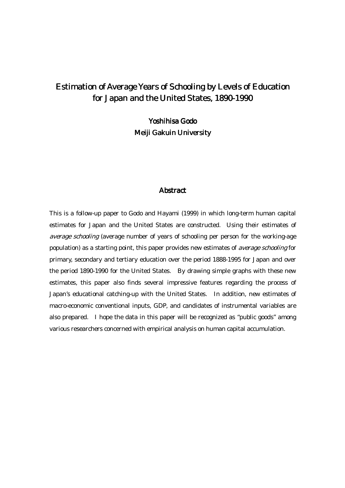# Estimation of Average Years of Schooling by Levels of Education for Japan and the United States, 1890-1990

Yoshihisa Godo Meiji Gakuin University

#### **Abstract**

This is a follow-up paper to Godo and Hayami (1999) in which long-term human capital estimates for Japan and the United States are constructed. Using their estimates of average schooling (average number of years of schooling per person for the working-age population) as a starting point, this paper provides new estimates of average schooling for primary, secondary and tertiary education over the period 1888-1995 for Japan and over the period 1890-1990 for the United States. By drawing simple graphs with these new estimates, this paper also finds several impressive features regarding the process of Japan's educational catching-up with the United States. In addition, new estimates of macro-economic conventional inputs, GDP, and candidates of instrumental variables are also prepared. I hope the data in this paper will be recognized as "public goods" among various researchers concerned with empirical analysis on human capital accumulation.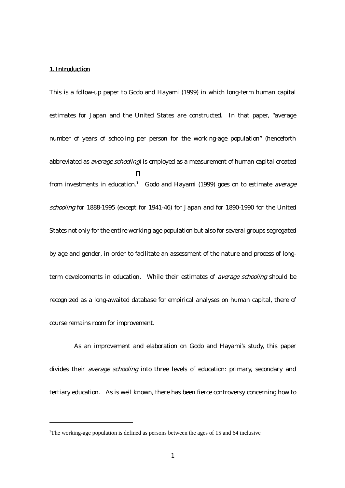## 1. Introduction

 $\overline{a}$ 

This is a follow-up paper to Godo and Hayami (1999) in which long-term human capital estimates for Japan and the United States are constructed. In that paper, "average number of years of schooling per person for the working-age population" (henceforth abbreviated as *average schooling*) is employed as a measurement of human capital created from investments in education.<sup>1</sup> Godo and Hayami (1999) goes on to estimate average schooling for 1888-1995 (except for 1941-46) for Japan and for 1890-1990 for the United States not only for the entire working-age population but also for several groups segregated by age and gender, in order to facilitate an assessment of the nature and process of longterm developments in education. While their estimates of average schooling should be recognized as a long-awaited database for empirical analyses on human capital, there of course remains room for improvement.

As an improvement and elaboration on Godo and Hayami's study, this paper divides their *average schooling* into three levels of education: primary, secondary and tertiary education. As is well known, there has been fierce controversy concerning how to

<sup>&</sup>lt;sup>1</sup>The working-age population is defined as persons between the ages of 15 and 64 inclusive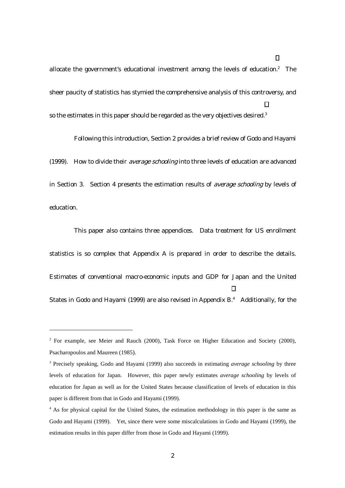allocate the government's educational investment among the levels of education.<sup>2</sup> The sheer paucity of statistics has stymied the comprehensive analysis of this controversy, and so the estimates in this paper should be regarded as the very objectives desired.<sup>3</sup>

Following this introduction, Section 2 provides a brief review of Godo and Hayami (1999). How to divide their *average schooling* into three levels of education are advanced in Section 3. Section 4 presents the estimation results of average schooling by levels of education.

This paper also contains three appendices. Data treatment for US enrollment statistics is so complex that Appendix A is prepared in order to describe the details. Estimates of conventional macro-economic inputs and GDP for Japan and the United States in Godo and Hayami (1999) are also revised in Appendix B.<sup>4</sup> Additionally, for the

 $\overline{a}$ 

 $2$  For example, see Meier and Rauch (2000), Task Force on Higher Education and Society (2000), Psacharopoulos and Maureen (1985).

<sup>3</sup> Precisely speaking, Godo and Hayami (1999) also succeeds in estimating *average schooling* by three levels of education for Japan. However, this paper newly estimates *average schooling* by levels of education for Japan as well as for the United States because classification of levels of education in this paper is different from that in Godo and Hayami (1999).

<sup>&</sup>lt;sup>4</sup> As for physical capital for the United States, the estimation methodology in this paper is the same as Godo and Hayami (1999). Yet, since there were some miscalculations in Godo and Hayami (1999), the estimation results in this paper differ from those in Godo and Hayami (1999).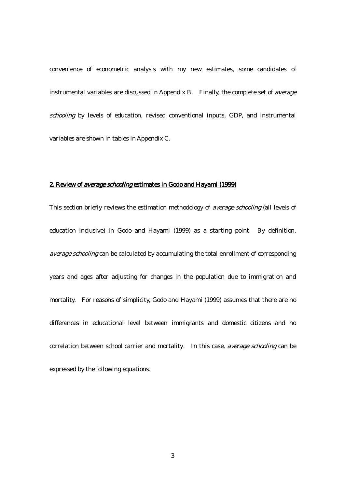convenience of econometric analysis with my new estimates, some candidates of instrumental variables are discussed in Appendix B. Finally, the complete set of average schooling by levels of education, revised conventional inputs, GDP, and instrumental variables are shown in tables in Appendix C.

## 2. Review of average schooling estimates in Godo and Hayami (1999)

This section briefly reviews the estimation methodology of *average schooling* (all levels of education inclusive) in Godo and Hayami (1999) as a starting point. By definition, average schooling can be calculated by accumulating the total enrollment of corresponding years and ages after adjusting for changes in the population due to immigration and mortality. For reasons of simplicity, Godo and Hayami (1999) assumes that there are no differences in educational level between immigrants and domestic citizens and no correlation between school carrier and mortality. In this case, average schooling can be expressed by the following equations.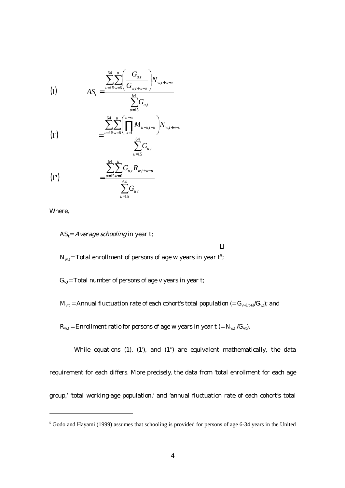(1) 
$$
AS_{t} = \frac{\sum_{u=15w=6}^{64} \left(\frac{G_{u,t}}{G_{w,t+w-u}}\right) N_{w,t+w-u}}{\sum_{u=15}^{64} G_{u,t}}
$$

$$
\sum_{u=15}^{64} \prod_{u=v}^{u-w} M_{u-x,t-x} \left| N_{w,t+w-u} \right|
$$

(1') 
$$
= \frac{\sum_{u=15w=6} \left( \prod_{x=1} M_{u-x,t-x} \right) N_{w,t+w-u}}{\sum_{u=15w=6}^{64} G_{u,t}}
$$

= 15 *u*

(1")
$$
\sum_{u=15w=6}^{64} \sum_{u=15w=6}^{u} G_{u,t} R_{w,t+w-u}
$$

$$
\sum_{u=15}^{64} G_{u,t}
$$

Where,

 $\overline{a}$ 

 $AS_t = Average$  schooling in year t;

 $\rm N_{w,t}$ = Total enrollment of persons of age w years in year  $\rm t^5$ ;

 $G_{v,t}$ = Total number of persons of age v years in year t;

 $M_{v,t}$  = Annual fluctuation rate of each cohort's total population (=  $G_{v+1,t+1}/G_{v,t}$ ); and

 $R_{w,t}$  = Enrollment ratio for persons of age w years in year t (=  $N_{w,t}/G_{v,t}$ ).

While equations (1), (1'), and (1") are equivalent mathematically, the data requirement for each differs. More precisely, the data from 'total enrollment for each age group,' 'total working-age population,' and 'annual fluctuation rate of each cohort's total

<sup>&</sup>lt;sup>5</sup> Godo and Hayami (1999) assumes that schooling is provided for persons of age 6-34 years in the United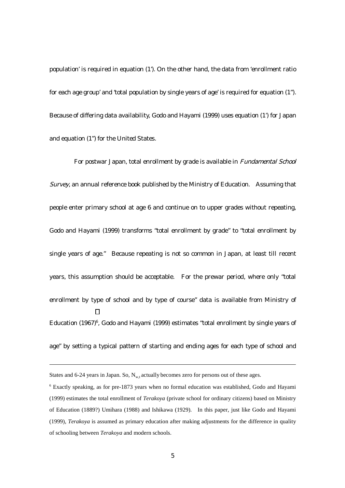population' is required in equation (1'). On the other hand, the data from 'enrollment ratio for each age group' and 'total population by single years of age' is required for equation (1"). Because of differing data availability, Godo and Hayami (1999) uses equation (1') for Japan and equation (1") for the United States.

For postwar Japan, total enrollment by grade is available in Fundamental School Survey, an annual reference book published by the Ministry of Education. Assuming that people enter primary school at age 6 and continue on to upper grades without repeating, Godo and Hayami (1999) transforms "total enrollment by grade" to "total enrollment by single years of age." Because repeating is not so common in Japan, at least till recent years, this assumption should be acceptable. For the prewar period, where only "total enrollment by type of school and by type of course" data is available from Ministry of Education (1967)<sup>6</sup>, Godo and Hayami (1999) estimates "total enrollment by single years of age" by setting a typical pattern of starting and ending ages for each type of school and

l

States and 6-24 years in Japan. So,  $N_{wt}$  actually becomes zero for persons out of these ages.

<sup>&</sup>lt;sup>6</sup> Exactly speaking, as for pre-1873 years when no formal education was established, Godo and Hayami (1999) estimates the total enrollment of *Terakoya* (private school for ordinary citizens) based on Ministry of Education (1889?) Umihara (1988) and Ishikawa (1929). In this paper, just like Godo and Hayami (1999), *Terakoya* is assumed as primary education after making adjustments for the difference in quality of schooling between *Terakoya* and modern schools.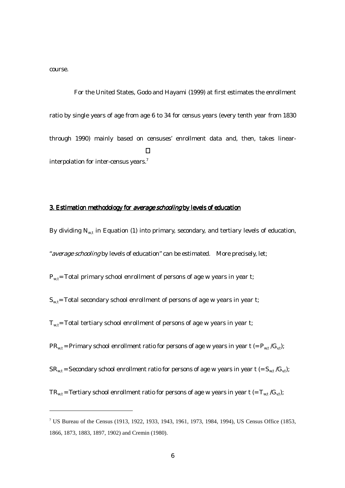course.

 $\overline{a}$ 

For the United States, Godo and Hayami (1999) at first estimates the enrollment ratio by single years of age from age 6 to 34 for census years (every tenth year from 1830 through 1990) mainly based on censuses' enrollment data and, then, takes linearinterpolation for inter-census years.7

## 3. Estimation methodology for average schooling by levels of education

By dividing  $N_{wt}$  in Equation (1) into primary, secondary, and tertiary levels of education, "average schooling by levels of education" can be estimated. More precisely, let;

 $P_{w,t}$ = Total primary school enrollment of persons of age w years in year t;

 $S_{w,t}$ = Total secondary school enrollment of persons of age w years in year t;

 $T<sub>w,t</sub>$ = Total tertiary school enrollment of persons of age w years in year t;

 $PR_{wt}$  = Primary school enrollment ratio for persons of age w years in year t (=  $P_{wt}/G_{vt}$ );

 $SR_{w,t}$  = Secondary school enrollment ratio for persons of age w years in year t (=  $S_{w,t}/G_{v,t}$ );

 $TR_{wt}$  = Tertiary school enrollment ratio for persons of age w years in year t (=  $T_{wt}/G_{wt}$ );

<sup>7</sup> US Bureau of the Census (1913, 1922, 1933, 1943, 1961, 1973, 1984, 1994), US Census Office (1853, 1866, 1873, 1883, 1897, 1902) and Cremin (1980).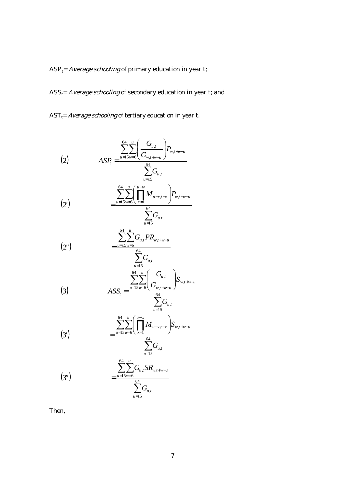$ASP_t = Average\,thooling$  of primary education in year t;

 $ASS_t = Average$  schooling of secondary education in year t; and

 $AST_t = Average schooling$  of tertiary education in year t.

(2) 
$$
ASP_t = \frac{\sum_{u=15w=6}^{64} \left(\frac{G_{u,t}}{G_{w,t+w-u}}\right) P_{w,t+w-u}}{\sum_{u=15}^{64} G_{u,t}}
$$

$$
(2') = \frac{\sum_{u=15w=6}^{64} \left(\prod_{x=1}^{u-w} M_{u-x,t-x}\right) P_{w,t+w-u}}{\sum_{u=15}^{64} G_{u,t}}
$$

$$
(2") \qquad \qquad = \frac{\sum_{u=15w=6}^{64} G_{u,t} P R_{w,t+w-u}}{\sum_{u=15w=6}^{64} G_{u,t}}
$$

(3) 
$$
ASS_{t} = \frac{\sum_{u=15}^{64} \sum_{w=6}^{u} \left(\frac{G_{u,t}}{G_{w,t+w-u}}\right) S_{w,t+w-u}}{\sum_{u=64}^{64} G_{u,t}}
$$

(3') 
$$
= \frac{\sum_{u=15}^{64} \sum_{w=6}^{u} \left( \prod_{x=1}^{u-w} M_{u-x,t-x} \right) S_{w,t+w-u}}{\sum_{x=6}^{64} G_{u,t}}
$$

= 15 *u*

(3")
$$
\frac{\sum_{u=15w=6}^{64} G_{u,t} S R_{w,t+w-u}}{\sum_{u=15}^{64} G_{u,t}}
$$

Then,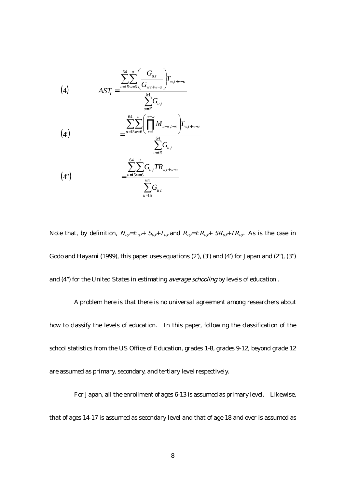(4)  
\n
$$
AST_{t} = \frac{\sum_{u=15w=6}^{64} \left(\frac{G_{u,t}}{G_{w,t+w-u}}\right) T_{w,t+w-u}}{\sum_{u=15}^{64} G_{u,t}}
$$
\n
$$
= \frac{\sum_{u=15w=6}^{64} \left(\prod_{x=1}^{u-w} M_{u-x,t-x}\right) T_{w,t+w-u}}{\sum_{u=15}^{64} G_{u,t}}
$$
\n
$$
(4')
$$
\n
$$
= \frac{\sum_{u=15w=6}^{64} G_{u,t} T R_{w,t+w-u}}{\sum_{u=15}^{64} G_{u,t}}
$$

Note that, by definition,  $N_{u,\bar{t}}=E_{u,\bar{t}}+S_{u,\bar{t}}+T_{u,\bar{t}}$  and  $R_{u,\bar{t}}=ER_{u,\bar{t}}+SR_{u,\bar{t}}+TR_{u,\bar{t}}$ . As is the case in Godo and Hayami (1999), this paper uses equations (2'), (3') and (4') for Japan and (2"), (3") and (4") for the United States in estimating average schooling by levels of education.

A problem here is that there is no universal agreement among researchers about how to classify the levels of education. In this paper, following the classification of the school statistics from the US Office of Education, grades 1-8, grades 9-12, beyond grade 12 are assumed as primary, secondary, and tertiary level respectively.

For Japan, all the enrollment of ages 6-13 is assumed as primary level. Likewise, that of ages 14-17 is assumed as secondary level and that of age 18 and over is assumed as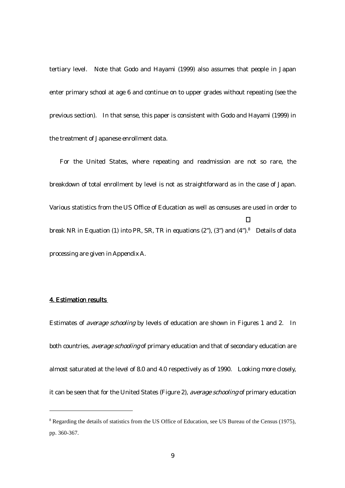tertiary level. Note that Godo and Hayami (1999) also assumes that people in Japan enter primary school at age 6 and continue on to upper grades without repeating (see the previous section). In that sense, this paper is consistent with Godo and Hayami (1999) in the treatment of Japanese enrollment data.

For the United States, where repeating and readmission are not so rare, the breakdown of total enrollment by level is not as straightforward as in the case of Japan. Various statistics from the US Office of Education as well as censuses are used in order to break NR in Equation (1) into PR, SR, TR in equations  $(2^{n})$ ,  $(3^{n})$  and  $(4^{n})$ .<sup>8</sup> Details of data processing are given in Appendix A.

#### 4. Estimation results

 $\overline{a}$ 

Estimates of average schooling by levels of education are shown in Figures 1 and 2. In both countries, *average schooling* of primary education and that of secondary education are almost saturated at the level of 8.0 and 4.0 respectively as of 1990. Looking more closely, it can be seen that for the United States (Figure 2), average schooling of primary education

<sup>&</sup>lt;sup>8</sup> Regarding the details of statistics from the US Office of Education, see US Bureau of the Census (1975), pp. 360-367.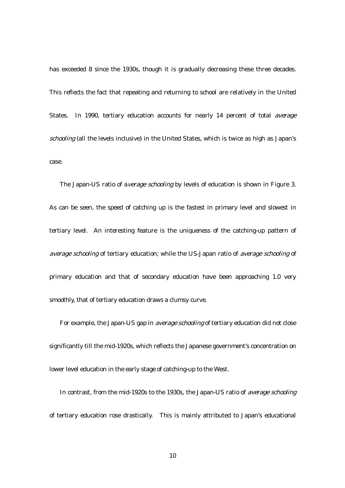has exceeded 8 since the 1930s, though it is gradually decreasing these three decades. This reflects the fact that repeating and returning to school are relatively in the United States. In 1990, tertiary education accounts for nearly 14 percent of total average schooling (all the levels inclusive) in the United States, which is twice as high as Japan's case.

The Japan-US ratio of average schooling by levels of education is shown in Figure 3. As can be seen, the speed of catching up is the fastest in primary level and slowest in tertiary level. An interesting feature is the uniqueness of the catching-up pattern of average schooling of tertiary education; while the US-Japan ratio of average schooling of primary education and that of secondary education have been approaching 1.0 very smoothly, that of tertiary education draws a clumsy curve.

For example, the Japan-US gap in average schooling of tertiary education did not close significantly till the mid-1920s, which reflects the Japanese government's concentration on lower level education in the early stage of catching-up to the West.

In contrast, from the mid-1920s to the 1930s, the Japan-US ratio of average schooling of tertiary education rose drastically. This is mainly attributed to Japan's educational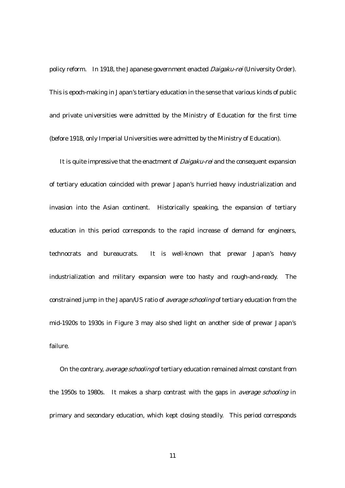policy reform. In 1918, the Japanese government enacted *Daigaku-rei* (University Order). This is epoch-making in Japan's tertiary education in the sense that various kinds of public and private universities were admitted by the Ministry of Education for the first time (before 1918, only Imperial Universities were admitted by the Ministry of Education).

It is quite impressive that the enactment of *Daigaku-rei* and the consequent expansion of tertiary education coincided with prewar Japan's hurried heavy industrialization and invasion into the Asian continent. Historically speaking, the expansion of tertiary education in this period corresponds to the rapid increase of demand for engineers, technocrats and bureaucrats. It is well-known that prewar Japan's heavy industrialization and military expansion were too hasty and rough-and-ready. The constrained jump in the Japan/US ratio of average schooling of tertiary education from the mid-1920s to 1930s in Figure 3 may also shed light on another side of prewar Japan's failure.

On the contrary, *average schooling* of tertiary education remained almost constant from the 1950s to 1980s. It makes a sharp contrast with the gaps in average schooling in primary and secondary education, which kept closing steadily. This period corresponds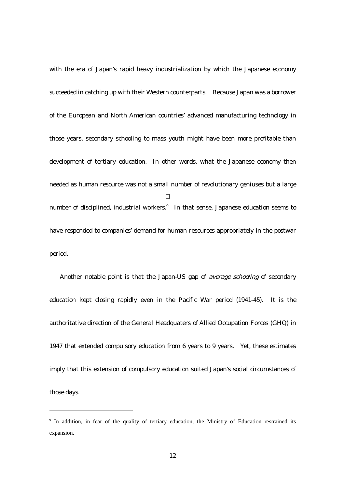with the era of Japan's rapid heavy industrialization by which the Japanese economy succeeded in catching up with their Western counterparts. Because Japan was a borrower of the European and North American countries' advanced manufacturing technology in those years, secondary schooling to mass youth might have been more profitable than development of tertiary education. In other words, what the Japanese economy then needed as human resource was not a small number of revolutionary geniuses but a large number of disciplined, industrial workers.<sup>9</sup> In that sense, Japanese education seems to have responded to companies' demand for human resources appropriately in the postwar period.

Another notable point is that the Japan-US gap of average schooling of secondary education kept closing rapidly even in the Pacific War period (1941-45). It is the authoritative direction of the General Headquaters of Allied Occupation Forces (GHQ) in 1947 that extended compulsory education from 6 years to 9 years. Yet, these estimates imply that this extension of compulsory education suited Japan's social circumstances of those days.

 $\overline{a}$ 

<sup>&</sup>lt;sup>9</sup> In addition, in fear of the quality of tertiary education, the Ministry of Education restrained its expansion.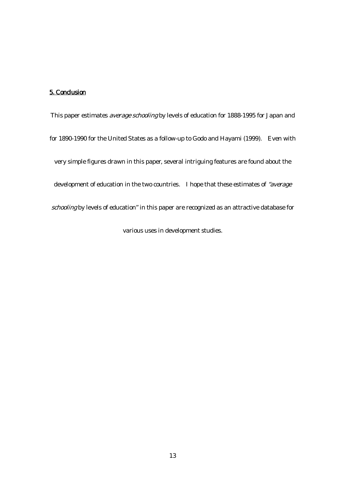## 5. Conclusion

This paper estimates *average schooling* by levels of education for 1888-1995 for Japan and for 1890-1990 for the United States as a follow-up to Godo and Hayami (1999). Even with very simple figures drawn in this paper, several intriguing features are found about the development of education in the two countries. I hope that these estimates of "average schooling by levels of education" in this paper are recognized as an attractive database for various uses in development studies.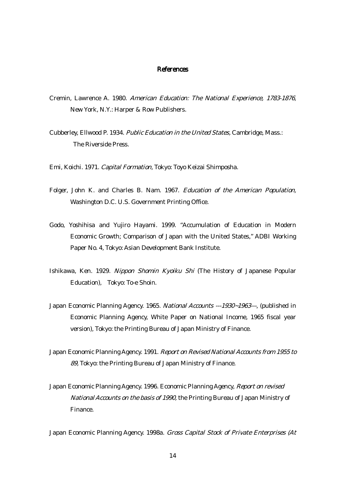#### References

- Cremin, Lawrence A. 1980. American Education: The National Experience, 1783-1876, New York, N.Y.: Harper & Row Publishers.
- Cubberley, Ellwood P. 1934. Public Education in the United States, Cambridge, Mass.: The Riverside Press.

Emi, Koichi. 1971. Capital Formation, Tokyo: Toyo Keizai Shimposha.

- Folger, John K. and Charles B. Nam. 1967. Education of the American Population, Washington D.C. U.S. Government Printing Office.
- Godo, Yoshihisa and Yujiro Hayami. 1999. "Accumulation of Education in Modern Economic Growth; Comparison of Japan with the United States," ADBI Working Paper No. 4, Tokyo: Asian Development Bank Institute.
- Ishikawa, Ken. 1929. Nippon Shomin Kyoiku Shi (The History of Japanese Popular Education), Tokyo: To-e Shoin.
- Japan Economic Planning Agency. 1965. National Accounts ---1930∼1963---, (published in Economic Planning Agency, White Paper on National Income, 1965 fiscal year version), Tokyo: the Printing Bureau of Japan Ministry of Finance.
- Japan Economic Planning Agency. 1991. Report on Revised National Accounts from 1955 to 89, Tokyo: the Printing Bureau of Japan Ministry of Finance.
- Japan Economic Planning Agency. 1996. Economic Planning Agency, Report on revised National Accounts on the basis of 1990, the Printing Bureau of Japan Ministry of Finance.

Japan Economic Planning Agency. 1998a. Gross Capital Stock of Private Enterprises (At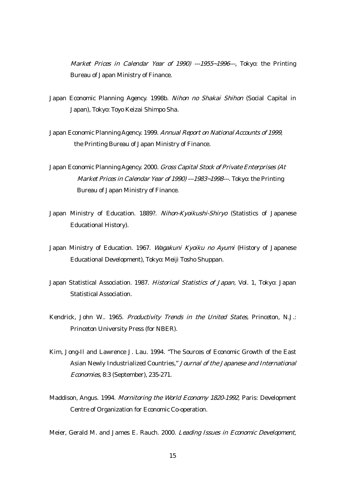Market Prices in Calendar Year of 1990) ---1955∼1996---, Tokyo: the Printing Bureau of Japan Ministry of Finance.

- Japan Economic Planning Agency. 1998b. Nihon no Shakai Shihon (Social Capital in Japan), Tokyo: Toyo Keizai Shimpo Sha.
- Japan Economic Planning Agency. 1999. Annual Report on National Accounts of 1999, the Printing Bureau of Japan Ministry of Finance.
- Japan Economic Planning Agency. 2000. Gross Capital Stock of Private Enterprises (At Market Prices in Calendar Year of 1990) ---1983~1998---. Tokyo: the Printing Bureau of Japan Ministry of Finance.
- Japan Ministry of Education. 1889?. Nihon-Kyoikushi-Shiryo (Statistics of Japanese Educational History).
- Japan Ministry of Education. 1967. Wagakuni Kyoiku no Ayumi (History of Japanese Educational Development), Tokyo: Meiji Tosho Shuppan.
- Japan Statistical Association. 1987. Historical Statistics of Japan, Vol. 1, Tokyo: Japan Statistical Association.
- Kendrick, John W.. 1965. Productivity Trends in the United States, Princeton, N.J.: Princeton University Press (for NBER).
- Kim, Jong-Il and Lawrence J. Lau. 1994. "The Sources of Economic Growth of the East Asian Newly Industrialized Countries," Journal of the Japanese and International Economies, 8:3 (September), 235-271.
- Maddison, Angus. 1994. Mornitoring the World Economy 1820-1992, Paris: Development Centre of Organization for Economic Co-operation.

Meier, Gerald M. and James E. Rauch. 2000. Leading Issues in Economic Development,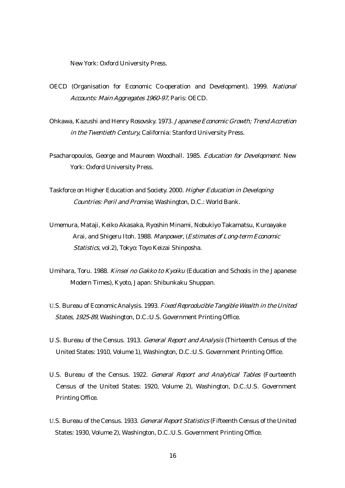New York: Oxford University Press.

- OECD (Organisation for Economic Co-operation and Development). 1999. National Accounts: Main Aggregates 1960-97, Paris: OECD.
- Ohkawa, Kazushi and Henry Rosovsky. 1973. Japanese Economic Growth; Trend Accretion in the Twentieth Century, California: Stanford University Press.
- Psacharopoulos, George and Maureen Woodhall. 1985. Education for Development. New York: Oxford University Press.
- Taskforce on Higher Education and Society. 2000. Higher Education in Developing Countries: Peril and Promise, Washington, D.C.: World Bank.
- Umemura, Mataji, Keiko Akasaka, Ryoshin Minami, Nobukiyo Takamatsu, Kuroayake Arai, and Shigeru Itoh. 1988. Manpower, (Estimates of Long-term Economic Statistics, vol.2), Tokyo: Toyo Keizai Shinposha.
- Umihara, Toru. 1988. Kinsei no Gakko to Kyoiku (Education and Schools in the Japanese Modern Times), Kyoto, Japan: Shibunkaku Shuppan.
- U.S. Bureau of Economic Analysis. 1993. Fixed Reproducible Tangible Wealth in the United States, 1925-89, Washington, D.C.:U.S. Government Printing Office.
- U.S. Bureau of the Census. 1913. General Report and Analysis (Thirteenth Census of the United States: 1910, Volume 1), Washington, D.C.:U.S. Government Printing Office.
- U.S. Bureau of the Census. 1922. General Report and Analytical Tables (Fourteenth Census of the United States: 1920, Volume 2), Washington, D.C.:U.S. Government Printing Office.
- U.S. Bureau of the Census. 1933. General Report Statistics (Fifteenth Census of the United States: 1930, Volume 2), Washington, D.C.:U.S. Government Printing Office.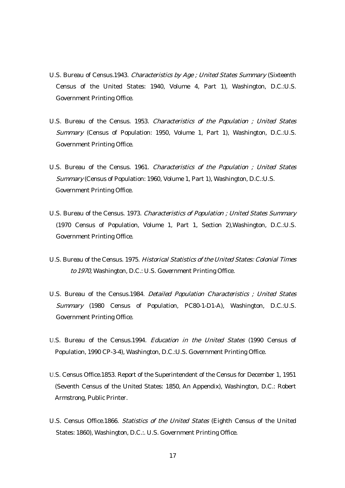- U.S. Bureau of Census.1943. Characteristics by Age ; United States Summary (Sixteenth Census of the United States: 1940, Volume 4, Part 1), Washington, D.C.:U.S. Government Printing Office.
- U.S. Bureau of the Census. 1953. Characteristics of the Population ; United States Summary (Census of Population: 1950, Volume 1, Part 1), Washington, D.C.:U.S. Government Printing Office.
- U.S. Bureau of the Census. 1961. Characteristics of the Population ; United States Summary (Census of Population: 1960, Volume 1, Part 1), Washington, D.C.:U.S. Government Printing Office.
- U.S. Bureau of the Census. 1973. Characteristics of Population ; United States Summary (1970 Census of Population, Volume 1, Part 1, Section 2),Washington, D.C.:U.S. Government Printing Office.
- U.S. Bureau of the Census. 1975. Historical Statistics of the United States: Colonial Times to 1970, Washington, D.C.: U.S. Government Printing Office.
- U.S. Bureau of the Census.1984. Detailed Population Characteristics ; United States Summary (1980 Census of Population, PC80-1-D1-A), Washington, D.C.:U.S. Government Printing Office.
- U.S. Bureau of the Census.1994. Education in the United States (1990 Census of Population, 1990 CP-3-4), Washington, D.C.:U.S. Government Printing Office.
- U.S. Census Office.1853. Report of the Superintendent of the Census for December 1, 1951 (Seventh Census of the United States: 1850, An Appendix), Washington, D.C.: Robert Armstrong, Public Printer.
- U.S. Census Office.1866. Statistics of the United States (Eighth Census of the United States: 1860), Washington, D.C.:. U.S. Government Printing Office.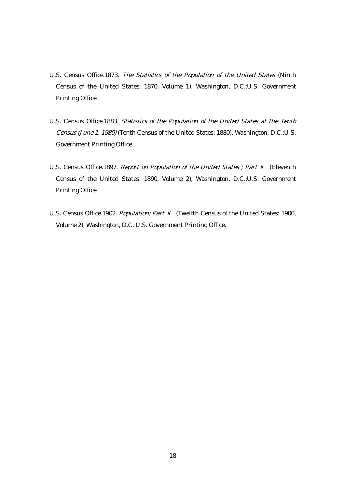- U.S. Census Office.1873. The Statistics of the Population of the United States (Ninth Census of the United States: 1870, Volume 1), Washington, D.C.:U.S. Government Printing Office.
- U.S. Census Office.1883. Statistics of the Population of the United States at the Tenth Census (June 1, 1980) (Tenth Census of the United States: 1880), Washington, D.C.:U.S. Government Printing Office.
- U.S. Census Office.1897. Report on Population of the United States ; Part (Eleventh Census of the United States: 1890, Volume 2), Washington, D.C.:U.S. Government Printing Office.
- U.S. Census Office.1902. Population; Part (Twelfth Census of the United States: 1900, Volume 2), Washington, D.C.:U.S. Government Printing Office.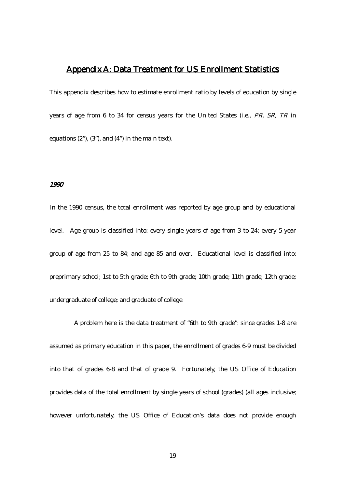## Appendix A: Data Treatment for US Enrollment Statistics

This appendix describes how to estimate enrollment ratio by levels of education by single years of age from 6 to 34 for census years for the United States (i.e., PR, SR, TR in equations (2"), (3"), and (4") in the main text).

#### 1990

In the 1990 census, the total enrollment was reported by age group and by educational level. Age group is classified into: every single years of age from 3 to 24; every 5-year group of age from 25 to 84; and age 85 and over. Educational level is classified into: preprimary school; 1st to 5th grade; 6th to 9th grade; 10th grade; 11th grade; 12th grade; undergraduate of college; and graduate of college.

A problem here is the data treatment of "6th to 9th grade": since grades 1-8 are assumed as primary education in this paper, the enrollment of grades 6-9 must be divided into that of grades 6-8 and that of grade 9. Fortunately, the US Office of Education provides data of the total enrollment by single years of school (grades) (all ages inclusive; however unfortunately, the US Office of Education's data does not provide enough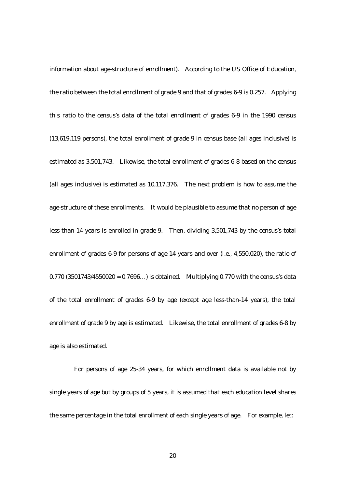information about age-structure of enrollment). According to the US Office of Education, the ratio between the total enrollment of grade 9 and that of grades 6-9 is 0.257. Applying this ratio to the census's data of the total enrollment of grades 6-9 in the 1990 census (13,619,119 persons), the total enrollment of grade 9 in census base (all ages inclusive) is estimated as 3,501,743. Likewise, the total enrollment of grades 6-8 based on the census (all ages inclusive) is estimated as 10,117,376. The next problem is how to assume the age-structure of these enrollments. It would be plausible to assume that no person of age less-than-14 years is enrolled in grade 9. Then, dividing 3,501,743 by the census's total enrollment of grades 6-9 for persons of age 14 years and over (i.e., 4,550,020), the ratio of  $0.770$  (3501743/4550020 =  $0.7696...$ ) is obtained. Multiplying 0.770 with the census's data of the total enrollment of grades 6-9 by age (except age less-than-14 years), the total enrollment of grade 9 by age is estimated. Likewise, the total enrollment of grades 6-8 by age is also estimated.

For persons of age 25-34 years, for which enrollment data is available not by single years of age but by groups of 5 years, it is assumed that each education level shares the same percentage in the total enrollment of each single years of age. For example, let: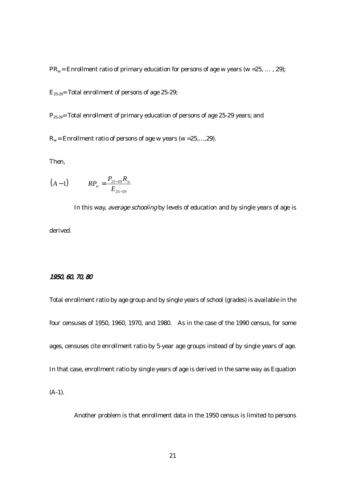$PR_w =$  Enrollment ratio of primary education for persons of age w years (w = 25, ..., 29);

 $E_{25-29}$ = Total enrollment of persons of age 25-29;

 $P_{25-29}$ = Total enrollment of primary education of persons of age 25-29 years; and

 $R_w$  = Enrollment ratio of persons of age w years (w = 25,..., 29).

Then,

$$
(A-1) \t R P_w = \frac{P_{25-29} R_w}{E_{25-29}}
$$

In this way, *average schooling* by levels of education and by single years of age is derived.

## 1950, 60, 70, 80

Total enrollment ratio by age group and by single years of school (grades) is available in the four censuses of 1950, 1960, 1970, and 1980. As in the case of the 1990 census, for some ages, censuses cite enrollment ratio by 5-year age groups instead of by single years of age. In that case, enrollment ratio by single years of age is derived in the same way as Equation (A-1).

Another problem is that enrollment data in the 1950 census is limited to persons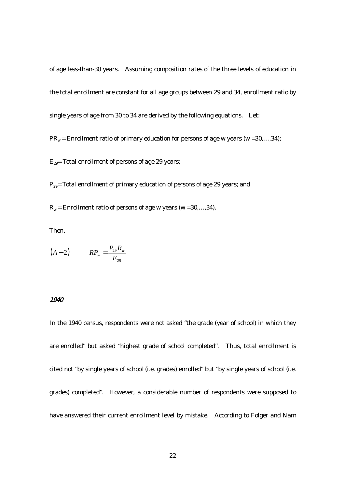of age less-than-30 years. Assuming composition rates of the three levels of education in the total enrollment are constant for all age groups between 29 and 34, enrollment ratio by single years of age from 30 to 34 are derived by the following equations. Let:

 $PR_w =$  Enrollment ratio of primary education for persons of age w years (w = 30,..., 34);

 $E_{29}$ = Total enrollment of persons of age 29 years;

 $P_{29}$ = Total enrollment of primary education of persons of age 29 years; and

 $R_w$  = Enrollment ratio of persons of age w years (w = 30,..., 34).

Then,

$$
(A-2) \t R P_w = \frac{P_{29} R_w}{E_{29}}
$$

#### 1940

In the 1940 census, respondents were not asked "the grade (year of school) in which they are enrolled" but asked "highest grade of school completed". Thus, total enrollment is cited not "by single years of school (i.e. grades) enrolled" but "by single years of school (i.e. grades) completed". However, a considerable number of respondents were supposed to have answered their current enrollment level by mistake. According to Folger and Nam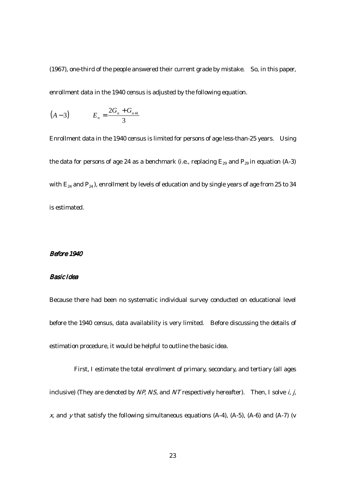(1967), one-third of the people answered their current grade by mistake. So, in this paper, enrollment data in the 1940 census is adjusted by the following equation.

$$
(A-3) \t E_n = \frac{2G_n + G_{n+1}}{3}
$$

Enrollment data in the 1940 census is limited for persons of age less-than-25 years. Using the data for persons of age 24 as a benchmark (i.e., replacing  $E_{29}$  and  $P_{29}$  in equation (A-3) with  $E_{24}$  and  $P_{24}$ ), enrollment by levels of education and by single years of age from 25 to 34 is estimated.

#### Before 1940

## Basic Idea

Because there had been no systematic individual survey conducted on educational level before the 1940 census, data availability is very limited. Before discussing the details of estimation procedure, it would be helpful to outline the basic idea.

First, I estimate the total enrollment of primary, secondary, and tertiary (all ages inclusive) (They are denoted by  $NP$ , NS, and NT respectively hereafter). Then, I solve *i*, *j*,  $x$ , and  $y$  that satisfy the following simultaneous equations (A-4), (A-5), (A-6) and (A-7) (v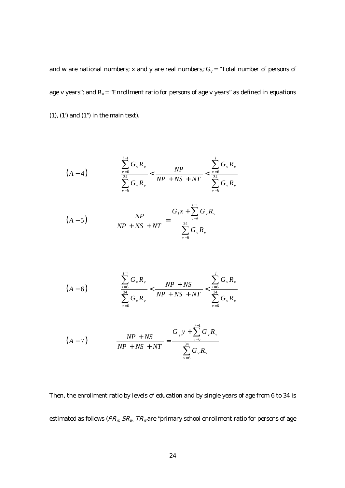and w are national numbers; x and y are real numbers;  $G_v =$  "Total number of persons of age v years"; and  $R_v =$  "Enrollment ratio for persons of age v years" as defined in equations  $(1)$ ,  $(1')$  and  $(1'')$  in the main text).

$$
(A-4) \qquad \qquad \frac{\sum_{\nu=6}^{i-1} G_{\nu} R_{\nu}}{\sum_{\nu=6}^{34} G_{\nu} R_{\nu}} < \frac{NP}{NP + NS + NT} < \frac{\sum_{\nu=6}^{i} G_{\nu} R_{\nu}}{\sum_{\nu=6}^{34} G_{\nu} R_{\nu}}
$$

$$
(A-5) \t\t NP + NS + NT = \frac{G_i x + \sum_{\nu=6}^{i-1} G_{\nu} R_{\nu}}{\sum_{\nu=6}^{34} G_{\nu} R_{\nu}}
$$

$$
(A-6) \qquad \frac{\sum_{i=6}^{j-1} G_{\nu} R_{\nu}}{\sum_{u=6}^{34} G_{\nu} R_{\nu}} < \frac{NP + NS}{NP + NS + NT} < \frac{\sum_{i=6}^{j} G_{\nu} R_{\nu}}{\sum_{v=6}^{34} G_{\nu} R_{\nu}}
$$

$$
(A-7) \t\t NP + NS = \frac{G_y y + \sum_{v=6}^{j-1} G_v R_v}{\sum_{v=6}^{34} G_v R_v}
$$

Then, the enrollment ratio by levels of education and by single years of age from 6 to 34 is estimated as follows ( $PR_{w}$ ,  $SR_{w}$ ,  $TR_{w}$  are "primary school enrollment ratio for persons of age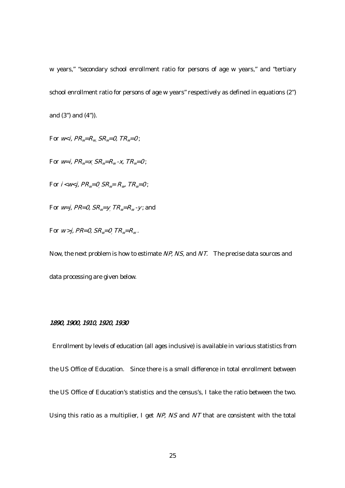w years," "secondary school enrollment ratio for persons of age w years," and "tertiary school enrollment ratio for persons of age w years" respectively as defined in equations (2") and (3") and (4")).

For  $w \lt i$ ,  $PR_w = R_w SR_w = 0$ ,  $TR_w = 0$ ;

For  $w=i$ ,  $PR_w=x$   $SR_w=R_w$ -x,  $TR_w=0$ ;

For  $i$  < w<  $j$ ,  $PR_w$ =0,  $SR_w$ =  $R_w$ ,  $TR_w$ =0;

For  $w=$  j, PR=0, SR<sub>w</sub>=y<sub>,</sub> TR<sub>w</sub>=R<sub>w</sub>-y; and

For  $w > j$ , PR=0, SR<sub>w</sub>=0<sub>,</sub> TR<sub>w</sub>=R<sub>w</sub>.

Now, the next problem is how to estimate NP, NS, and NT. The precise data sources and data processing are given below.

## 1890, 1900, 1910, 1920, 1930

 Enrollment by levels of education (all ages inclusive) is available in various statistics from the US Office of Education. Since there is a small difference in total enrollment between the US Office of Education's statistics and the census's, I take the ratio between the two. Using this ratio as a multiplier, I get NP, NS and NT that are consistent with the total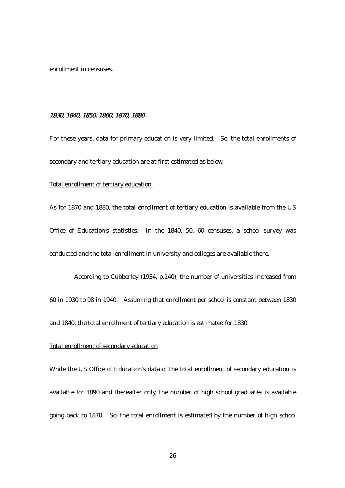enrollment in censuses.

## 1830, 1840, 1850, 1860, 1870, 1880

For these years, data for primary education is very limited. So, the total enrollments of secondary and tertiary education are at first estimated as below.

#### Total enrollment of tertiary education

As for 1870 and 1880, the total enrollment of tertiary education is available from the US Office of Education's statistics. In the 1840, 50, 60 censuses, a school survey was conducted and the total enrollment in university and colleges are available there.

According to Cubberley (1934, p.140), the number of universities increased from 60 in 1930 to 98 in 1940. Assuming that enrollment per school is constant between 1830 and 1840, the total enrollment of tertiary education is estimated for 1830.

## Total enrollment of secondary education

While the US Office of Education's data of the total enrollment of secondary education is available for 1890 and thereafter only, the number of high school graduates is available going back to 1870. So, the total enrollment is estimated by the number of high school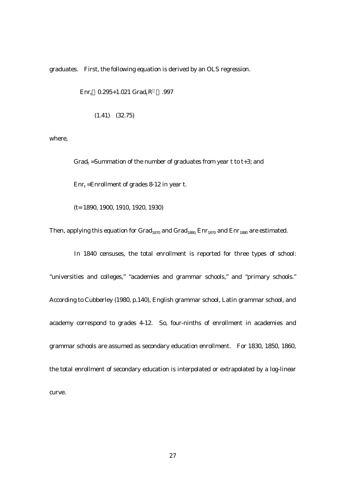graduates. First, the following equation is derived by an OLS regression.

 $Err_t$  0.295+1.021 Grad<sub>t</sub>R .997

(1.41) (32.75)

where,

Grad<sub>t</sub> =Summation of the number of graduates from year t to t+3; and  $Err_t = Enrollment$  of grades 8-12 in year t.

(t= 1890, 1900, 1910, 1920, 1930)

Then, applying this equation for  $Grad_{1870}$  and  $Grad_{1880}$  Enr<sub>1870</sub> and Enr<sub>1880</sub> are estimated.

In 1840 censuses, the total enrollment is reported for three types of school: "universities and colleges," "academies and grammar schools," and "primary schools." According to Cubberley (1980, p.140), English grammar school, Latin grammar school, and academy correspond to grades 4-12. So, four-ninths of enrollment in academies and grammar schools are assumed as secondary education enrollment. For 1830, 1850, 1860, the total enrollment of secondary education is interpolated or extrapolated by a log-linear curve.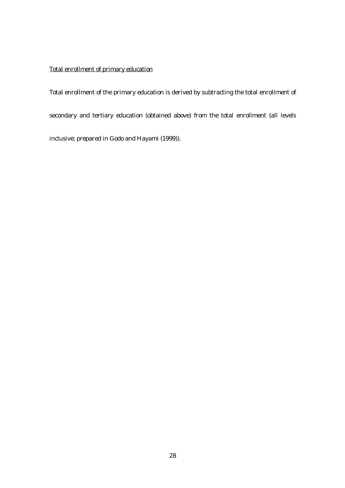## Total enrollment of primary education

Total enrollment of the primary education is derived by subtracting the total enrollment of secondary and tertiary education (obtained above) from the total enrollment (all levels inclusive; prepared in Godo and Hayami (1999)).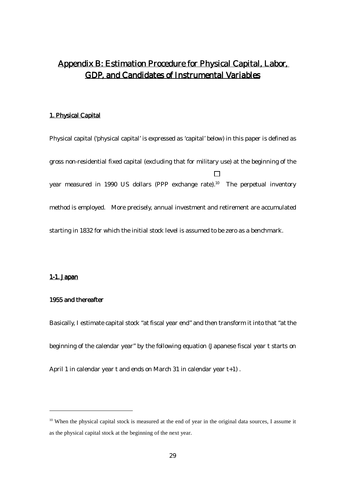# Appendix B: Estimation Procedure for Physical Capital, Labor, GDP, and Candidates of Instrumental Variables

## 1. Physical Capital

Physical capital ('physical capital' is expressed as 'capital' below) in this paper is defined as gross non-residential fixed capital (excluding that for military use) at the beginning of the year measured in 1990 US dollars (PPP exchange rate).<sup>10</sup> The perpetual inventory method is employed. More precisely, annual investment and retirement are accumulated starting in 1832 for which the initial stock level is assumed to be zero as a benchmark.

## 1-1. Japan

 $\overline{a}$ 

#### 1955 and thereafter

Basically, I estimate capital stock "at fiscal year end" and then transform it into that "at the beginning of the calendar year" by the following equation (Japanese fiscal year t starts on April 1 in calendar year t and ends on March 31 in calendar year t+1) .

 $10$  When the physical capital stock is measured at the end of year in the original data sources, I assume it as the physical capital stock at the beginning of the next year.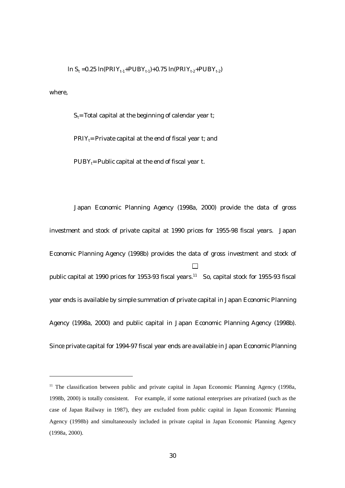$\ln S_t = 0.25 \ln(PRIY_{t-1}+PUBY_{t-1})+0.75 \ln(PRIY_{t-2}+PUBY_{t-2})$ 

where,

 $\overline{a}$ 

 $S_t$ = Total capital at the beginning of calendar year t;

 $PRIY_t$ = Private capital at the end of fiscal year t; and

 $PUBY_t = Public capital at the end of fiscal year t.$ 

Japan Economic Planning Agency (1998a, 2000) provide the data of gross investment and stock of private capital at 1990 prices for 1955-98 fiscal years. Japan Economic Planning Agency (1998b) provides the data of gross investment and stock of public capital at 1990 prices for 1953-93 fiscal years.<sup>11</sup> So, capital stock for 1955-93 fiscal year ends is available by simple summation of private capital in Japan Economic Planning Agency (1998a, 2000) and public capital in Japan Economic Planning Agency (1998b). Since private capital for 1994-97 fiscal year ends are available in Japan Economic Planning

 $11$  The classification between public and private capital in Japan Economic Planning Agency (1998a, 1998b, 2000) is totally consistent. For example, if some national enterprises are privatized (such as the case of Japan Railway in 1987), they are excluded from public capital in Japan Economic Planning Agency (1998b) and simultaneously included in private capital in Japan Economic Planning Agency (1998a, 2000).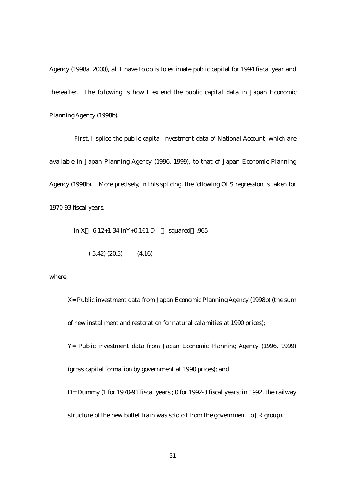Agency (1998a, 2000), all I have to do is to estimate public capital for 1994 fiscal year and thereafter. The following is how I extend the public capital data in Japan Economic Planning Agency (1998b).

First, I splice the public capital investment data of National Account, which are available in Japan Planning Agency (1996, 1999), to that of Japan Economic Planning Agency (1998b). More precisely, in this splicing, the following OLS regression is taken for 1970-93 fiscal years.

ln X -6.12+1.34 lnY+0.161 D -squared .965

 $(-5.42)$   $(20.5)$   $(4.16)$ 

where,

X= Public investment data from Japan Economic Planning Agency (1998b) (the sum of new installment and restoration for natural calamities at 1990 prices); Y= Public investment data from Japan Economic Planning Agency (1996, 1999) (gross capital formation by government at 1990 prices); and D= Dummy (1 for 1970-91 fiscal years ; 0 for 1992-3 fiscal years; in 1992, the railway structure of the new bullet train was sold off from the government to JR group).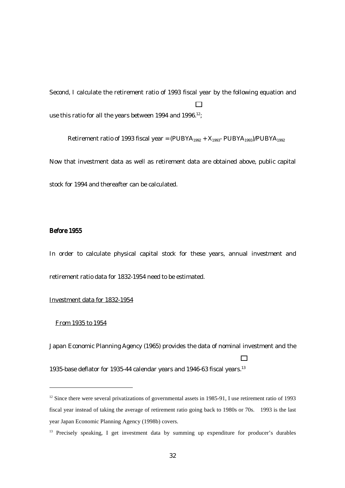Second, I calculate the retirement ratio of 1993 fiscal year by the following equation and use this ratio for all the years between 1994 and 1996.<sup>12</sup>;

Retirement ratio of 1993 fiscal year =  $(PUBYA_{1992} + X_{1993} - PUBYA_{1993})/PUBYA_{1992}$ Now that investment data as well as retirement data are obtained above, public capital

#### Before 1955

In order to calculate physical capital stock for these years, annual investment and retirement ratio data for 1832-1954 need to be estimated.

## Investment data for 1832-1954

stock for 1994 and thereafter can be calculated.

#### From 1935 to 1954

 $\overline{a}$ 

Japan Economic Planning Agency (1965) provides the data of nominal investment and the

1935-base deflator for 1935-44 calendar years and 1946-63 fiscal years.<sup>13</sup>

<sup>&</sup>lt;sup>12</sup> Since there were several privatizations of governmental assets in 1985-91, I use retirement ratio of 1993 fiscal year instead of taking the average of retirement ratio going back to 1980s or 70s. 1993 is the last year Japan Economic Planning Agency (1998b) covers.

<sup>&</sup>lt;sup>13</sup> Precisely speaking, I get investment data by summing up expenditure for producer's durables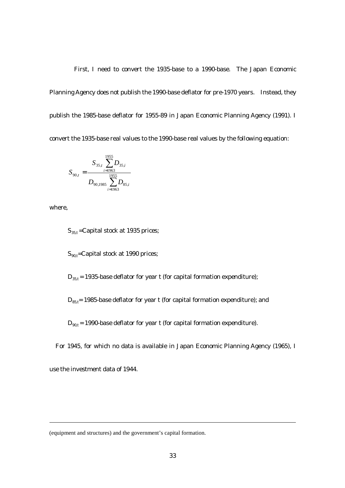First, I need to convert the 1935-base to a 1990-base. The Japan Economic Planning Agency does not publish the 1990-base deflator for pre-1970 years. Instead, they publish the 1985-base deflator for 1955-89 in Japan Economic Planning Agency (1991). I convert the 1935-base real values to the 1990-base real values by the following equation:

$$
S_{90,t} = \frac{S_{35,t} \sum_{i=1963}^{1955} D_{35,i}}{D_{90,1985} \sum_{i=1963}^{1955} D_{85,i}}
$$

where,

 $\overline{a}$ 

 $S_{35,t}$  = Capital stock at 1935 prices;

 $S_{90,t}$ =Capital stock at 1990 prices;

 $D_{35,t}$  = 1935-base deflator for year t (for capital formation expenditure);

 $D_{85,t}= 1985$ -base deflator for year t (for capital formation expenditure); and

 $D_{90,t}$  = 1990-base deflator for year t (for capital formation expenditure).

For 1945, for which no data is available in Japan Economic Planning Agency (1965), I

use the investment data of 1944.

(equipment and structures) and the government's capital formation.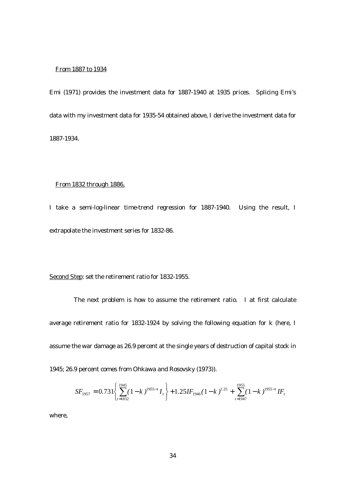#### From 1887 to 1934

Emi (1971) provides the investment data for 1887-1940 at 1935 prices. Splicing Emi's data with my investment data for 1935-54 obtained above, I derive the investment data for 1887-1934.

#### From 1832 through 1886,

I take a semi-log-linear time-trend regression for 1887-1940. Using the result, I extrapolate the investment series for 1832-86.

Second Step: set the retirement ratio for 1832-1955.

 $\overline{\mathfrak{l}}$ 

*t*

1832

The next problem is how to assume the retirement ratio. I at first calculate average retirement ratio for 1832-1924 by solving the following equation for k (here, I assume the war damage as 26.9 percent at the single years of destruction of capital stock in 1945; 26.9 percent comes from Ohkawa and Rosovsky (1973)).

$$
SF_{1957} = 0.731 \left\{ \sum_{t=1832}^{1945} (1-k)^{1955-t} I_t \right\} + 1.25IF_{1946} (1-k)^{1.25} + \sum_{t=1947}^{1955} (1-k)^{1955-t} IF_{1946} (1-k)^{1.25} + \sum_{t=1947}^{1955} (1-k)^{1955-t} IF_{1946} (1-k)^{1.25} + \sum_{t=1947}^{1955} (1-k)^{1955-t} IF_{1946} (1-k)^{1.25} + \sum_{t=1947}^{1955} (1-k)^{1955-t} IF_{1946} (1-k)^{1.25} + \sum_{t=1947}^{1955} (1-k)^{1955-t} IF_{1946} (1-k)^{1.25} + \sum_{t=1947}^{1955} (1-k)^{1955-t} IF_{1946} (1-k)^{1.25} + \sum_{t=1947}^{1955} (1-k)^{1955-t} IF_{1946} (1-k)^{1.25} + \sum_{t=1947}^{1955} (1-k)^{1955-t} FF_{1946} (1-k)^{1.25} + \sum_{t=1947}^{1955} (1-k)^{1955-t} FF_{1946} (1-k)^{1.25} + \sum_{t=1947}^{1955} (1-k)^{1955-t} FF_{1946} (1-k)^{1.25} + \sum_{t=1947}^{1955} (1-k)^{1955-t} FF_{1946} (1-k)^{1.25} + \sum_{t=1947}^{1955} (1-k)^{1955-t} FF_{1946} (1-k)^{1.25} + \sum_{t=1947}^{1955} (1-k)^{1955-t} FF_{1946} (1-k)^{1.25} + \sum_{t=1947}^{1955} (1-k)^{1955-t} FF_{1946} (1-k)^{1955-t} FF_{1946} (1-k)^{1.25} + \sum_{t=1947}^{1955} (1-k)^{1955-t} FF_{1946} (1
$$

=

*t*

1947

−

*t*

where,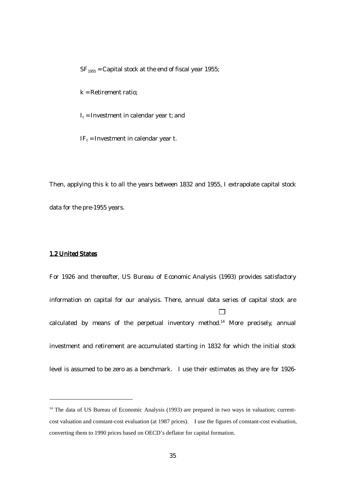$SF<sub>1955</sub> = Capital stock at the end of fiscal year 1955;$ 

k = Retirement ratio;

 $I_t$  = Investment in calendar year t; and

 $IF_t = Investment in calendar year t.$ 

Then, applying this k to all the years between 1832 and 1955, I extrapolate capital stock data for the pre-1955 years.

#### 1.2 United States

 $\overline{a}$ 

For 1926 and thereafter, US Bureau of Economic Analysis (1993) provides satisfactory information on capital for our analysis. There, annual data series of capital stock are calculated by means of the perpetual inventory method.14 More precisely, annual investment and retirement are accumulated starting in 1832 for which the initial stock level is assumed to be zero as a benchmark. I use their estimates as they are for 1926-

<sup>&</sup>lt;sup>14</sup> The data of US Bureau of Economic Analysis (1993) are prepared in two ways in valuation; currentcost valuation and constant-cost evaluation (at 1987 prices). I use the figures of constant-cost evaluation, converting them to 1990 prices based on OECD's deflator for capital formation.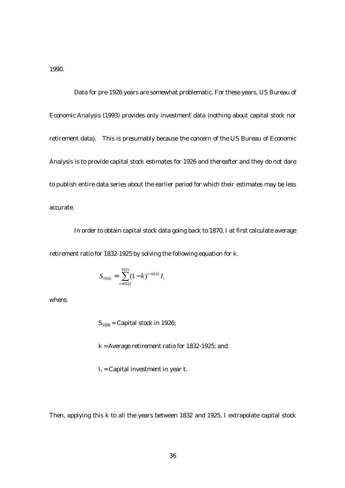1990.

Data for pre-1926 years are somewhat problematic. For these years, US Bureau of Economic Analysis (1993) provides only investment data (nothing about capital stock nor retirement data). This is presumably because the concern of the US Bureau of Economic Analysis is to provide capital stock estimates for 1926 and thereafter and they do not dare to publish entire data series about the earlier period for which their estimates may be less accurate.

In order to obtain capital stock data going back to 1870, I at first calculate average retirement ratio for 1832-1925 by solving the following equation for k.

$$
S_{1926} = \sum_{t=1832}^{1925} (1-k)^{t-1832} I_t
$$

where,

 $S_{1926}$  = Capital stock in 1926;

k = Average retirement ratio for 1832-1925; and

 $I_t$  = Capital investment in year t.

Then, applying this k to all the years between 1832 and 1925, I extrapolate capital stock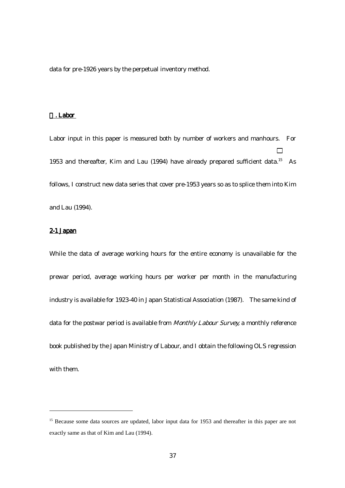data for pre-1926 years by the perpetual inventory method.

#### . Labor

Labor input in this paper is measured both by number of workers and manhours. For 1953 and thereafter, Kim and Lau (1994) have already prepared sufficient data.15 As follows, I construct new data series that cover pre-1953 years so as to splice them into Kim and Lau (1994).

#### 2-1 Japan

 $\overline{a}$ 

While the data of average working hours for the entire economy is unavailable for the prewar period, average working hours per worker per month in the manufacturing industry is available for 1923-40 in Japan Statistical Association (1987). The same kind of data for the postwar period is available from Monthly Labour Survey, a monthly reference book published by the Japan Ministry of Labour, and I obtain the following OLS regression with them.

<sup>&</sup>lt;sup>15</sup> Because some data sources are updated, labor input data for 1953 and thereafter in this paper are not exactly same as that of Kim and Lau (1994).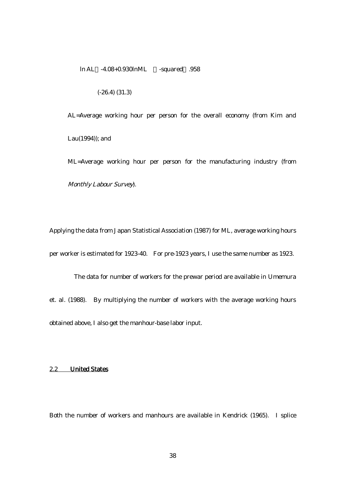ln AL -4.08+0.930lnML -squared .958

(-26.4) (31.3)

AL=Average working hour per person for the overall economy (from Kim and Lau(1994)); and

ML=Average working hour per person for the manufacturing industry (from Monthly Labour Survey).

Applying the data from Japan Statistical Association (1987) for ML, average working hours per worker is estimated for 1923-40. For pre-1923 years, I use the same number as 1923.

The data for number of workers for the prewar period are available in Umemura et. al. (1988). By multiplying the number of workers with the average working hours obtained above, I also get the manhour-base labor input.

## 2.2 United States

Both the number of workers and manhours are available in Kendrick (1965). I splice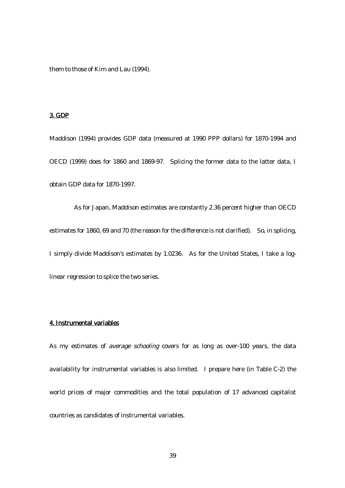them to those of Kim and Lau (1994).

## 3. GDP

Maddison (1994) provides GDP data (measured at 1990 PPP dollars) for 1870-1994 and OECD (1999) does for 1860 and 1869-97. Splicing the former data to the latter data, I obtain GDP data for 1870-1997.

As for Japan, Maddison estimates are constantly 2.36 percent higher than OECD estimates for 1860, 69 and 70 (the reason for the difference is not clarified). So, in splicing, I simply divide Maddison's estimates by 1.0236. As for the United States, I take a loglinear regression to splice the two series.

## 4. Instrumental variables

As my estimates of *average schooling* covers for as long as over-100 years, the data availability for instrumental variables is also limited. I prepare here (in Table C-2) the world prices of major commodities and the total population of 17 advanced capitalist countries as candidates of instrumental variables.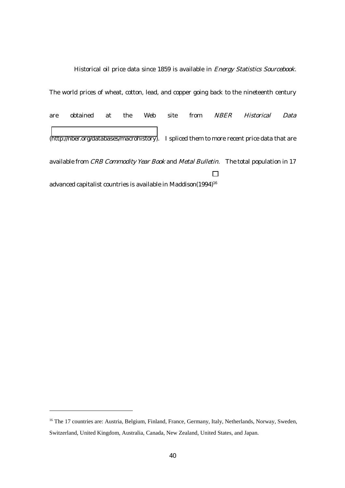Historical oil price data since 1859 is available in *Energy Statistics Sourcebook*. The world prices of wheat, cotton, lead, and copper going back to the nineteenth century are obtained at the Web site from NBER Historical Data ([http://nber.org/databases/macrohistory\)](http://nber.org/databases/macrohistory). I spliced them to more recent price data that are available from CRB Commodity Year Book and Metal Bulletin. The total population in 17 advanced capitalist countries is available in Maddison(1994)<sup>16</sup>

 $\overline{a}$ 

<sup>&</sup>lt;sup>16</sup> The 17 countries are: Austria, Belgium, Finland, France, Germany, Italy, Netherlands, Norway, Sweden, Switzerland, United Kingdom, Australia, Canada, New Zealand, United States, and Japan.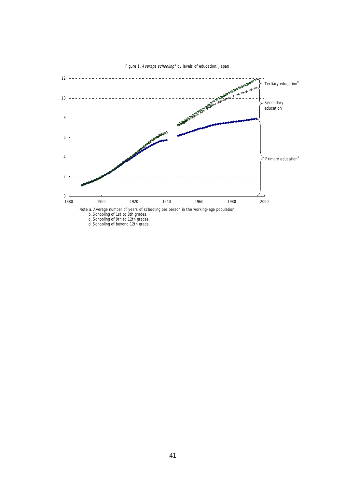

Figure 1. Average schooling<sup>a</sup> by levels of education, Japan

Note a. Average number of years of schooling per person in the working-age population.

b. Schooling of 1st to 8th grades.

 c. Schooling of 9th to 12th grades. d. Schooling of beyond 12th grade.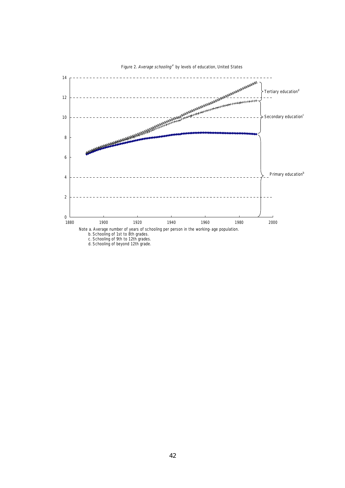

Figure 2. Average schooling<sup>a</sup> by levels of education, United States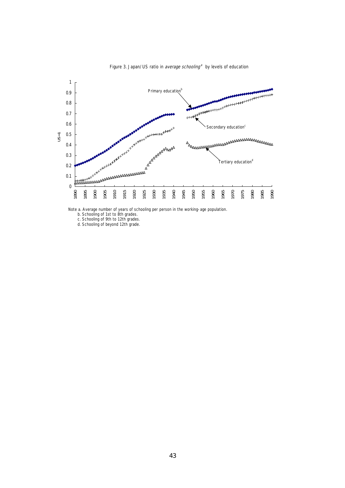

Figure 3. Japan/US ratio in average schooling<sup>a</sup> by levels of education

Note a. Average number of years of schooling per person in the working-age population.

b. Schooling of 1st to 8th grades.

c. Schooling of 9th to 12th grades.

d. Schooling of beyond 12th grade.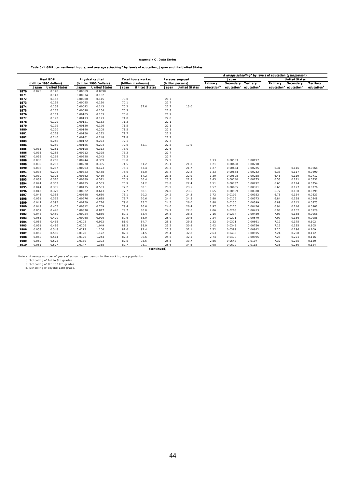#### Appendix C. Data Series

#### Table C-1 GDP, conventional inputs, and *average schooling*<sup>2</sup> by levels of education, Japan and the United States

|      |       |                         |         |                         |                           |                      |       |                      | Average schooling <sup>a</sup> by levels of education (year/person) |            |                        |         |                                               |                        |  |  |
|------|-------|-------------------------|---------|-------------------------|---------------------------|----------------------|-------|----------------------|---------------------------------------------------------------------|------------|------------------------|---------|-----------------------------------------------|------------------------|--|--|
|      |       | <b>Real GDP</b>         |         | <b>Physical capital</b> | <b>Total hours worked</b> |                      |       | Persons engaged      |                                                                     | Japan      |                        |         | <b>United States</b>                          |                        |  |  |
|      |       | (trillion 1990 dollars) |         | (trillion 1990 Dollars) |                           | (billion manhours)   |       | (billion persons)    | Primary                                                             | Secondary  | <b>Tertiary</b>        | Primary | Secondary                                     | <b>Tertiary</b>        |  |  |
|      | Japan | <b>United States</b>    | Japan   | <b>United States</b>    | Japan                     | <b>United States</b> | Japan | <b>United States</b> | education <sup>b</sup>                                              | education' | education <sup>d</sup> |         | education <sup>b</sup> education <sup>c</sup> | education <sup>d</sup> |  |  |
| 1870 | 0.025 | 0.140                   | 0.00069 | 0.0890                  |                           |                      |       |                      |                                                                     |            |                        |         |                                               |                        |  |  |
| 1871 |       | 0.147                   | 0.00074 | 0.102                   |                           |                      |       |                      |                                                                     |            |                        |         |                                               |                        |  |  |
| 1872 |       | 0.152                   | 0.00080 | 0.115                   | 70.0                      |                      | 21.7  |                      |                                                                     |            |                        |         |                                               |                        |  |  |
| 1873 |       | 0.159                   | 0.00085 | 0.130                   | 70.1                      |                      | 21.7  |                      |                                                                     |            |                        |         |                                               |                        |  |  |
| 1874 |       | 0.158                   | 0.00092 | 0.143                   | 70.2                      | 37.6                 | 21.7  | 13.0                 |                                                                     |            |                        |         |                                               |                        |  |  |
| 1875 |       | 0.165                   | 0.00098 | 0.154                   | 70.3                      |                      | 21.8  |                      |                                                                     |            |                        |         |                                               |                        |  |  |
| 1876 |       | 0.167                   | 0.00105 | 0.163                   | 70.6                      |                      | 21.9  |                      |                                                                     |            |                        |         |                                               |                        |  |  |
| 1877 |       | 0.172                   | 0.00113 | 0.173                   | 71.0                      |                      | 22.0  |                      |                                                                     |            |                        |         |                                               |                        |  |  |
| 1878 |       | 0.179                   | 0.00121 | 0.183                   | 71.3                      |                      | 22.1  |                      |                                                                     |            |                        |         |                                               |                        |  |  |
| 1879 |       | 0.199                   | 0.00130 | 0.196                   | 71.5                      |                      | 22.1  |                      |                                                                     |            |                        |         |                                               |                        |  |  |
| 1880 |       | 0.220                   | 0.00140 | 0.208                   | 71.5                      |                      | 22.1  |                      |                                                                     |            |                        |         |                                               |                        |  |  |
| 1881 |       | 0.228                   | 0.00150 | 0.222                   | 71.7                      |                      | 22.2  |                      |                                                                     |            |                        |         |                                               |                        |  |  |
| 1882 |       | 0.240                   | 0.00161 | 0.248                   | 71.8                      |                      | 22.2  |                      |                                                                     |            |                        |         |                                               |                        |  |  |
| 1883 |       | 0.246                   | 0.00172 | 0.273                   | 72.1                      |                      | 22.3  |                      |                                                                     |            |                        |         |                                               |                        |  |  |
| 1884 |       | 0.250                   | 0.00185 | 0.294                   | 72.6                      | 52.1                 | 22.5  | 17.9                 |                                                                     |            |                        |         |                                               |                        |  |  |
| 1885 | 0.031 | 0.251                   | 0.00198 | 0.313                   | 73.0                      |                      | 22.6  |                      |                                                                     |            |                        |         |                                               |                        |  |  |
| 1886 | 0.033 | 0.258                   | 0.00212 | 0.328                   | 73.2                      |                      | 22.7  |                      |                                                                     |            |                        |         |                                               |                        |  |  |
| 1887 | 0.035 | 0.269                   | 0.00228 | 0.342                   | 73.2                      |                      | 22.7  |                      |                                                                     |            |                        |         |                                               |                        |  |  |
| 1888 | 0.033 | 0.268                   | 0.00244 | 0.369                   | 73.8                      |                      | 22.9  |                      | 1.13                                                                | 0.00583    | 0.00197                |         |                                               |                        |  |  |
| 1889 | 0.035 | 0.283                   | 0.00270 | 0.395                   | 74.5                      | 61.2                 | 23.1  | 21.0                 | 1.21                                                                | 0.00608    | 0.00210                |         |                                               |                        |  |  |
| 1890 | 0.038 | 0.287                   | 0.00293 | 0.423                   | 75.1                      | 63.4                 | 23.3  | 21.7                 | 1.27                                                                | 0.00634    | 0.00225                | 6.31    | 0.116                                         | 0.0668                 |  |  |
| 1891 | 0.036 | 0.298                   | 0.00323 | 0.458                   | 75.6                      | 65.0                 | 23.4  | 22.2                 | 1.33                                                                | 0.00664    | 0.00242                | 6.38    | 0.117                                         | 0.0690                 |  |  |
| 1892 | 0.039 | 0.325                   | 0.00362 | 0.489                   | 76.1                      | 67.2                 | 23.5  | 22.9                 | 1.39                                                                | 0.00698    | 0.00258                | 6.46    | 0.119                                         | 0.0712                 |  |  |
| 1893 | 0.039 | 0.310                   | 0.00389 | 0.521                   | 76.5                      | 66.4                 | 23.7  | 22.8                 | 1.45                                                                | 0.00740    | 0.00275                | 6.53    | 0.121                                         | 0.0732                 |  |  |
| 1894 | 0.044 | 0.302                   | 0.00425 | 0.553                   | 76.9                      | 64.2                 | 23.8  | 22.4                 | 1.51                                                                | 0.00787    | 0.00292                | 6.60    | 0.124                                         | 0.0754                 |  |  |
| 1895 | 0.044 | 0.335                   | 0.00475 | 0.583                   | 77.2                      | 68.1                 | 23.9  | 23.5                 | 1.57                                                                | 0.00855    | 0.00311                | 6.66    | 0.127                                         | 0.0776                 |  |  |
| 1896 | 0.042 | 0.329                   | 0.00522 | 0.613                   | 77.7                      | 68.1                 | 24.0  | 23.6                 | 1.65                                                                | 0.00959    | 0.00330                | 6.72    | 0.130                                         | 0.0799                 |  |  |
| 1897 | 0.043 | 0.358                   | 0.00588 | 0.650                   | 78.1                      | 70.2                 | 24.2  | 24.3                 | 1.72                                                                | 0.0109     | 0.00352                | 6.78    | 0.134                                         | 0.0823                 |  |  |
| 1898 | 0.051 | 0.365                   | 0.00676 | 0.688                   | 78.7                      | 70.6                 | 24.4  | 24.5                 | 1.80                                                                | 0.0126     | 0.00373                | 6.84    | 0.138                                         | 0.0848                 |  |  |
| 1899 | 0.047 | 0.395                   | 0.00759 | 0.726                   | 79.0                      | 75.7                 | 24.5  | 26.0                 | 1.88                                                                | 0.0150     | 0.00399                | 6.89    | 0.142                                         | 0.0875                 |  |  |
| 1900 | 0.049 | 0.405                   | 0.00812 | 0.769                   | 79.4                      | 76.6                 | 24.6  | 26.4                 | 1.97                                                                | 0.0175     | 0.00426                | 6.94    | 0.146                                         | 0.0902                 |  |  |
| 1901 | 0.051 | 0.446                   | 0.00870 | 0.817                   | 79.7                      | 80.0                 | 24.7  | 27.6                 | 2.06                                                                | 0.0203     | 0.00453                | 6.98    | 0.152                                         | 0.0929                 |  |  |
| 1902 | 0.048 | 0.450                   | 0.00924 | 0.866                   | 80.1                      | 83.4                 | 24.8  | 28.8                 | 2.16                                                                | 0.0234     | 0.00480                | 7.03    | 0.158                                         | 0.0958                 |  |  |
| 1903 | 0.051 | 0.470                   | 0.00968 | 0.926                   | 80.6                      | 85.9                 | 25.0  | 29.6                 | 2.24                                                                | 0.0271     | 0.00570                | 7.07    | 0.166                                         | 0.0988                 |  |  |
| 1904 | 0.052 | 0.465                   | 0.0102  | 0.992                   | 81.0                      | 84.7                 | 25.1  | 29.5                 | 2.32                                                                | 0.0311     | 0.00661                | 7.12    | 0.175                                         | 0.102                  |  |  |
| 1905 | 0.051 | 0.496                   | 0.0106  | 1.049                   | 81.2                      | 88.9                 | 25.2  | 30.9                 | 2.42                                                                | 0.0349     | 0.00750                | 7.16    | 0.185                                         | 0.105                  |  |  |
| 1906 | 0.058 | 0.548                   | 0.0113  | 1.106                   | 81.6                      | 92.4                 | 25.3  | 32.1                 | 2.52                                                                | 0.0389     | 0.00842                | 7.20    | 0.196                                         | 0.109                  |  |  |
| 1907 | 0.059 | 0.556                   | 0.0120  | 1.172                   | 82.1                      | 94.5                 | 25.4  | 32.8                 | 2.63                                                                | 0.0433     | 0.00915                | 7.24    | 0.208                                         | 0.112                  |  |  |
| 1908 | 0.060 | 0.514                   | 0.0129  | 1.244                   | 82.3                      | 90.6                 | 25.5  | 32.1                 | 2.74                                                                | 0.0479     | 0.00995                | 7.28    | 0.221                                         | 0.116                  |  |  |
| 1909 | 0.060 | 0.572                   | 0.0139  | 1.303                   | 82.5                      | 95.5                 | 25.5  | 33.7                 | 2.86                                                                | 0.0547     | 0.0107                 | 7.32    | 0.235                                         | 0.120                  |  |  |
| 1910 | 0.061 | 0.577                   | 0.0147  | 1.368                   | 82.7                      | 98.1                 | 25.6  | 34.6                 | 2.98                                                                | 0.0619     | 0.0115                 | 7.36    | 0.250                                         | 0.124                  |  |  |
|      |       |                         |         |                         |                           | (continued)          |       |                      |                                                                     |            |                        |         |                                               |                        |  |  |

Note a. Average number of years of schooling per person in the working age population b. Schooling of 1st to 8th grades. c. Schooling of 9th to 12th grades. d. Schooling of beyond 12th grade.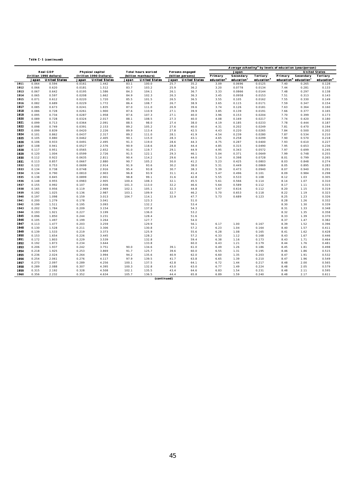|  | Table C-1 (continued) |
|--|-----------------------|
|  |                       |

|      |       |                         |        |                         |       |                           |       |                      | Average schooling <sup>a</sup> by levels of education (year/person) |                        |                        |                      |                                   |                        |  |  |  |
|------|-------|-------------------------|--------|-------------------------|-------|---------------------------|-------|----------------------|---------------------------------------------------------------------|------------------------|------------------------|----------------------|-----------------------------------|------------------------|--|--|--|
|      |       | <b>Real GDP</b>         |        | Physical capital        |       | <b>Total hours worked</b> |       | Persons engaged      |                                                                     | Japan                  |                        | <b>United States</b> |                                   |                        |  |  |  |
|      |       | (trillion 1990 dollars) |        | (trillion 1990 Dollars) |       | (billion manhours)        |       | (billion persons)    | Primary                                                             | Secondary              | <b>Tertiary</b>        | Primary              | Secondary                         | <b>Tertiary</b>        |  |  |  |
|      | Japan | <b>United States</b>    | Japan  | <b>United States</b>    | Japan | <b>United States</b>      | Japan | <b>United States</b> | education <sup>b</sup>                                              | education <sup>c</sup> | education <sup>d</sup> |                      | education <sup>b</sup> education' | education <sup>d</sup> |  |  |  |
| 1911 | 0.064 | 0.594                   | 0.0161 | 1.442                   | 83.1  | 100.0                     | 25.7  | 35.2                 | 3.09                                                                | 0.0696                 | 0.0125                 | 7.40                 | 0.265                             | 0.128                  |  |  |  |
| 1912 | 0.066 | 0.620                   | 0.0181 | 1.512                   | 83.7  | 103.2                     | 25.9  | 36.2                 | 3.20                                                                | 0.0778                 | 0.0134                 | 7.44                 | 0.281                             | 0.133                  |  |  |  |
| 1913 | 0.067 | 0.642                   | 0.0195 | 1.586                   | 84.3  | 104.1                     | 26.1  | 36.7                 | 3.33                                                                | 0.0866                 | 0.0144                 | 7.48                 | 0.297                             | 0.138                  |  |  |  |
| 1914 | 0.065 | 0.597                   | 0.0208 | 1.662                   | 84.9  | 102.3                     | 26.3  | 36.3                 | 3.45                                                                | 0.0958                 | 0.0153                 | 7.51                 | 0.313                             | 0.143                  |  |  |  |
| 1915 | 0.071 | 0.612                   | 0.0220 | 1.720                   | 85.5  | 101.5                     | 26.5  | 36.5                 | 3.55                                                                | 0.105                  | 0.0162                 | 7.55                 | 0.330                             | 0.149                  |  |  |  |
| 1916 | 0.082 | 0.689                   | 0.0229 | 1.772                   | 86.4  | 108.7                     | 26.7  | 38.9                 | 3.65                                                                | 0.115                  | 0.0171                 | 7.59                 | 0.347                             | 0.154                  |  |  |  |
| 1917 | 0.085 | 0.673                   | 0.0241 | 1.835                   | 87.0  | 111.0                     | 26.9  | 39.6                 | 3.74                                                                | 0.126                  | 0.0181                 | 7.63                 | 0.364                             | 0.160                  |  |  |  |
| 1918 | 0.086 | 0.728                   | 0.0261 | 1.900                   | 87.6  | 110.9                     | 27.1  | 39.9                 | 3.85                                                                | 0.139                  | 0.0191                 | 7.66                 | 0.377                             | 0.165                  |  |  |  |
| 1919 | 0.095 | 0.734                   | 0.0287 | 1.958                   | 87.6  | 107.3                     | 27.1  | 40.0                 | 3.96                                                                | 0.153                  | 0.0204                 | 7.70                 | 0.399                             | 0.173                  |  |  |  |
| 1920 | 0.089 | 0.728                   | 0.0324 | 2.017                   | 88.1  | 108.5                     | 27.3  | 40.0                 | 4.08                                                                | 0.169                  | 0.0217                 | 7.74                 | 0.420                             | 0.180                  |  |  |  |
| 1921 | 0.099 | 0.713                   | 0.0364 | 2.091                   | 88.5  | 98.0                      | 27.4  | 38.0                 | 4.19                                                                | 0.185                  | 0.0233                 | 7.78                 | 0.444                             | 0.187                  |  |  |  |
| 1922 | 0.098 | 0.749                   | 0.0391 | 2.153                   | 89.2  | 105.2                     | 27.6  | 40.0                 | 4.31                                                                | 0.202                  | 0.0249                 | 7.81                 | 0.470                             | 0.194                  |  |  |  |
| 1923 | 0.099 | 0.839                   | 0.0420 | 2.226                   | 89.9  | 113.4                     | 27.8  | 42.5                 | 4.43                                                                | 0.220                  | 0.0265                 | 7.84                 | 0.500                             | 0.202                  |  |  |  |
| 1924 | 0.101 | 0.862                   | 0.0437 | 2.317                   | 89.2  | 111.0                     | 28.1  | 41.9                 | 4.54                                                                | 0.239                  | 0.0280                 | 7.87                 | 0.534                             | 0.210                  |  |  |  |
| 1925 | 0.105 | 0.880                   | 0.0462 | 2.405                   | 90.1  | 115.0                     | 28.3  | 43.1                 | 4.65                                                                | 0.258                  | 0.0299                 | 7.90                 | 0.570                             | 0.218                  |  |  |  |
| 1926 | 0.106 | 0.933                   | 0.0491 | 2.495                   | 91.3  | 119.0                     | 28.6  | 44.3                 | 4.75                                                                | 0.287                  | 0.0400                 | 7.93                 | 0.610                             | 0.227                  |  |  |  |
| 1927 | 0.108 | 0.941                   | 0.0527 | 2.576                   | 90.9  | 118.6                     | 28.8  | 44.4                 | 4.85                                                                | 0.315                  | 0.0490                 | 7.95                 | 0.653                             | 0.236                  |  |  |  |
| 1928 | 0.117 | 0.951                   | 0.0565 | 2.652                   | 91.0  | 119.7                     | 29.1  | 44.9                 | 4.95                                                                | 0.343                  | 0.0572                 | 7.97                 | 0.699                             | 0.245                  |  |  |  |
| 1929 | 0.120 | 1.004                   | 0.0599 | 2.726                   | 91.5  | 122.1                     | 29.3  | 46.1                 | 5.04                                                                | 0.371                  | 0.0649                 | 7.99                 | 0.748                             | 0.255                  |  |  |  |
| 1930 | 0.112 | 0.922                   | 0.0635 | 2.811                   | 90.4  | 114.2                     | 29.6  | 44.0                 | 5.14                                                                | 0.398                  | 0.0728                 | 8.01                 | 0.799                             | 0.265                  |  |  |  |
| 1931 | 0.113 | 0.857                   | 0.0667 | 2.880                   | 90.7  | 105.2                     | 30.0  | 41.2                 | 5.23                                                                | 0.425                  | 0.0803                 | 8.03                 | 0.848                             | 0.274                  |  |  |  |
| 1932 | 0.122 | 0.753                   | 0.0699 | 2.914                   | 91.9  | 93.6                      | 30.2  | 38.0                 | 5.31                                                                | 0.449                  | 0.0869                 | 8.05                 | 0.895                             | 0.283                  |  |  |  |
| 1933 | 0.134 | 0.738                   | 0.0748 | 2.916                   | 95.4  | 93.8                      | 30.7  | 38.3                 | 5.39                                                                | 0.473                  | 0.0940                 | 8.07                 | 0.940                             | 0.291                  |  |  |  |
| 1934 | 0.134 | 0.790                   | 0.0810 | 2.903                   | 96.8  | 93.9                      | 31.1  | 41.4                 | 5.47                                                                | 0.496                  | 0.101                  | 8.09                 | 0.984                             | 0.298                  |  |  |  |
| 1935 | 0.138 | 0.845                   | 0.0899 | 2.901                   | 98.8  | 99.1                      | 31.6  | 42.8                 | 5.55                                                                | 0.533                  | 0.108                  | 8.12                 | 1.03                              | 0.305                  |  |  |  |
| 1936 | 0.148 | 0.955                   | 0.0983 | 2.905                   | 100.4 | 108.3                     | 32.1  | 45.5                 | 5.61                                                                | 0.566                  | 0.114                  | 8.14                 | 1.07                              | 0.310                  |  |  |  |
| 1937 | 0.155 | 0.992                   | 0.107  | 2.936                   | 101.3 | 113.0                     | 32.2  | 46.6                 | 5.64                                                                | 0.589                  | 0.112                  | 8.17                 | 1.11                              | 0.315                  |  |  |  |
| 1938 | 0.165 | 0.956                   | 0.119  | 2.969                   | 102.1 | 105.1                     | 32.3  | 44.8                 | 5.67                                                                | 0.616                  | 0.112                  | 8.20                 | 1.15                              | 0.319                  |  |  |  |
| 1939 | 0.192 | 1.025                   | 0.136  | 2.987                   | 103.1 | 109.9                     | 32.7  | 46.2                 | 5.70                                                                | 0.653                  | 0.118                  | 8.22                 | 1.19                              | 0.323                  |  |  |  |
| 1940 | 0.197 | 1.098                   | 0.159  | 3.013                   | 104.7 | 114.1                     | 32.9  | 47.7                 | 5.73                                                                | 0.689                  | 0.123                  | 8.25                 | 1.23                              | 0.326                  |  |  |  |
| 1941 | 0.200 | 1.279                   | 0.178  | 3.041                   |       | 123.3                     |       | 51.0                 |                                                                     |                        |                        | 8.28                 | 1.26                              | 0.332                  |  |  |  |
| 1942 | 0.199 | 1.511                   | 0.195  | 3.093                   |       | 132.2                     |       | 53.4                 |                                                                     |                        |                        | 8.30                 | 1.30                              | 0.339                  |  |  |  |
| 1943 | 0.202 | 1.784                   | 0.209  | 3.154                   |       | 137.8                     |       | 54.3                 |                                                                     |                        |                        | 8.31                 | 1.33                              | 0.348                  |  |  |  |
| 1944 | 0.193 | 1.921                   | 0.227  | 3.199                   |       | 136.0                     |       | 53.2                 |                                                                     |                        |                        | 8.32                 | 1.35                              | 0.358                  |  |  |  |
| 1945 | 0.096 | 1.850                   | 0.244  | 3.231                   |       | 128.4                     |       | 51.6                 |                                                                     |                        |                        | 8.33                 | 1.39                              | 0.370                  |  |  |  |
| 1946 | 0.105 | 1.497                   | 0.199  | 3.264                   |       | 127.7                     |       | 54.0                 |                                                                     |                        |                        | 8.37                 | 1.47                              | 0.382                  |  |  |  |
| 1947 | 0.113 | 1.477                   | 0.203  | 3.259                   |       | 129.9                     |       | 56.1                 | 6.17                                                                | 1.00                   | 0.167                  | 8.39                 | 1.52                              | 0.396                  |  |  |  |
| 1948 | 0.130 | 1.528                   | 0.211  | 3.306                   |       | 130.8                     |       | 57.2                 | 6.23                                                                | 1.04                   | 0.164                  | 8.40                 | 1.57                              | 0.411                  |  |  |  |
| 1949 | 0.139 | 1.533                   | 0.219  | 3.373                   |       | 125.9                     |       | 55.6                 | 6.28                                                                | 1.08                   | 0.165                  | 8.41                 | 1.62                              | 0.428                  |  |  |  |
| 1950 | 0.153 | 1.654                   | 0.226  | 3.445                   |       | 128.2                     |       | 57.2                 | 6.33                                                                | 1.12                   | 0.168                  | 8.43                 | 1.67                              | 0.446                  |  |  |  |
| 1951 | 0.172 | 1.803                   | 0.229  | 3.539                   |       | 132.8                     |       | 59.4                 | 6.38                                                                | 1.16                   | 0.173                  | 8.43                 | 1.71                              | 0.464                  |  |  |  |
| 1952 | 0.192 | 1.873                   | 0.234  | 3.644                   |       | 133.8                     |       | 60.0                 | 6.43                                                                | 1.21                   | 0.179                  | 8.44                 | 1.76                              | 0.481                  |  |  |  |
| 1953 | 0.206 | 1.937                   | 0.242  | 3.751                   | 90.0  | 134.6                     | 39.1  | 61.0                 | 6.49                                                                | 1.26                   | 0.186                  | 8.45                 | 1.81                              | 0.498                  |  |  |  |
| 1954 | 0.218 | 1.925                   | 0.253  | 3.869                   | 91.7  | 125.7                     | 39.6  | 60.0                 | 6.55                                                                | 1.31                   | 0.195                  | 8.46                 | 1.86                              | 0.515                  |  |  |  |
| 1955 | 0.236 | 2.024                   | 0.264  | 3.994                   | 94.2  | 135.6                     | 40.9  | 62.0                 | 6.60                                                                | 1.35                   | 0.203                  | 8.47                 | 1.91                              | 0.532                  |  |  |  |
| 1956 | 0.254 | 2.061                   | 0.276  | 4.117                   | 97.9  | 139.5                     | 41.7  | 63.8                 | 6.65                                                                | 1.39                   | 0.210                  | 8.47                 | 1.96                              | 0.549                  |  |  |  |
| 1957 | 0.273 | 2.097                   | 0.289  | 4.256                   | 100.1 | 137.5                     | 42.8  | 64.1                 | 6.72                                                                | 1.44                   | 0.217                  | 8.48                 | 2.00                              | 0.565                  |  |  |  |
| 1958 | 0.289 | 2.088                   | 0.307  | 4.395                   | 100.3 | 132.8                     | 43.0  | 63.0                 | 6.77                                                                | 1.49                   | 0.224                  | 8.48                 | 2.05                              | 0.579                  |  |  |  |
| 1959 | 0.315 | 2.192                   | 0.328  | 4.508                   | 102.1 | 135.5                     | 43.4  | 64.6                 | 6.83                                                                | 1.54                   | 0.231                  | 8.48                 | 2.11                              | 0.595                  |  |  |  |
| 1960 | 0.356 | 2.232                   | 0.352  | 4.634                   | 105.7 | 136.5                     | 44.4  | 65.8                 | 6.89                                                                | 1.59                   | 0.240                  | 8.48                 | 2.17                              | 0.611                  |  |  |  |
|      |       |                         |        |                         |       | (continued)               |       |                      |                                                                     |                        |                        |                      |                                   |                        |  |  |  |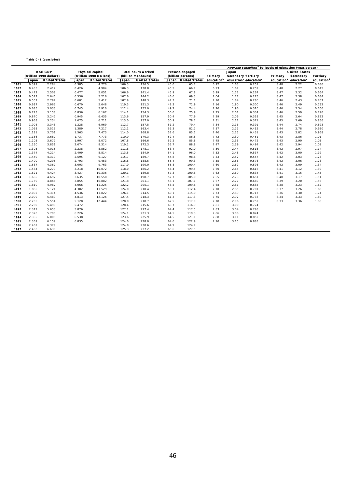Table C-1 (concluded)

|      |                 |                         |                  |                         |       |                           |      |                        | Average schooling <sup>2</sup> by levels of education (year/person) |                           |                                               |                      |                                               |                        |  |  |
|------|-----------------|-------------------------|------------------|-------------------------|-------|---------------------------|------|------------------------|---------------------------------------------------------------------|---------------------------|-----------------------------------------------|----------------------|-----------------------------------------------|------------------------|--|--|
|      | <b>Real GDP</b> |                         | Physical capital |                         |       | <b>Total hours worked</b> |      | <b>Persons engaged</b> |                                                                     | Japan                     |                                               | <b>United States</b> |                                               |                        |  |  |
|      |                 | (trillion 1990 dollars) |                  | (trillion 1990 Dollars) |       | (billion manhours)        |      | (billion persons)      | Primary                                                             | <b>Secondary Tertiary</b> |                                               | Primary              | Secondary                                     | <b>Tertiary</b>        |  |  |
|      | Japan           | <b>United States</b>    | Japan            | <b>United States</b>    | Japan | <b>United States</b>      |      | Japan United States    | educationb                                                          |                           | education <sup>c</sup> education <sup>d</sup> |                      | education <sup>b</sup> education <sup>c</sup> | education <sup>d</sup> |  |  |
| 1961 | 0.399           | 2.284                   | 0.385            | 4.770                   | 106.3 | 136.5                     | 45.0 | 65.7                   | 6.92                                                                | 1.63                      | 0.251                                         | 8.48                 | 2.22                                          | 0.630                  |  |  |
| 1962 | 0.435           | 2.412                   | 0.426            | 4.904                   | 106.3 | 138.8                     | 45.5 | 66.7                   | 6.93                                                                | 1.67                      | 0.259                                         | 8.48                 | 2.27                                          | 0.645                  |  |  |
| 1963 | 0.472           | 2.508                   | 0.477            | 5.051                   | 106.6 | 141.4                     | 45.9 | 67.8                   | 6.99                                                                | 1.72                      | 0.267                                         | 8.47                 | 2.32                                          | 0.664                  |  |  |
| 1964 | 0.527           | 2.646                   | 0.536            | 5.216                   | 107.6 | 144.2                     | 46.6 | 69.3                   | 7.04                                                                | 1.77                      | 0.275                                         | 8.47                 | 2.38                                          | 0.684                  |  |  |
| 1965 | 0.557           | 2.797                   | 0.601            | 5.412                   | 107.9 | 148.3                     | 47.3 | 71.1                   | 7.10                                                                | 1.84                      | 0.286                                         | 8.46                 | 2.43                                          | 0.707                  |  |  |
| 1966 | 0.617           | 2.963                   | 0.670            | 5.648                   | 110.3 | 151.3                     | 48.3 | 72.9                   | 7.16                                                                | 1.90                      | 0.300                                         | 8.46                 | 2.49                                          | 0.732                  |  |  |
| 1967 | 0.685           | 3.033                   | 0.745            | 5.910                   | 112.4 | 152.0                     | 49.2 | 74.4                   | 7.20                                                                | 1.96                      | 0.316                                         | 8.46                 | 2.54                                          | 0.760                  |  |  |
| 1968 | 0.773           | 3.158                   | 0.836            | 6.167                   | 114.1 | 154.3                     | 50.0 | 75.9                   | 7.25                                                                | 2.01                      | 0.334                                         | 8.46                 | 2.59                                          | 0.790                  |  |  |
| 1969 | 0.870           | 3.247                   | 0.945            | 6.435                   | 113.6 | 157.9                     | 50.4 | 77.9                   | 7.29                                                                | 2.06                      | 0.353                                         | 8.45                 | 2.64                                          | 0.822                  |  |  |
| 1970 | 0.963           | 3.254                   | 1.075            | 6.711                   | 113.0 | 157.0                     | 50.9 | 78.7                   | 7.31                                                                | 2.11                      | 0.371                                         | 8.45                 | 2.69                                          | 0.856                  |  |  |
| 1971 | 1.008           | 3.348                   | 1.228            | 6.969                   | 112.7 | 157.5                     | 51.2 | 79.4                   | 7.34                                                                | 2.16                      | 0.391                                         | 8.44                 | 2.74                                          | 0.893                  |  |  |
| 1972 | 1.093           | 3.519                   | 1.389            | 7.217                   | 112.1 | 163.4                     | 51.3 | 82.2                   | 7.37                                                                | 2.21                      | 0.412                                         | 8.44                 | 2.78                                          | 0.930                  |  |  |
| 1973 | 1.181           | 3.701                   | 1.563            | 7.473                   | 114.0 | 168.8                     | 52.6 | 85.1                   | 7.40                                                                | 2.25                      | 0.431                                         | 8.43                 | 2.82                                          | 0.968                  |  |  |
| 1974 | 1.166           | 3.687                   | 1.737            | 7.773                   | 110.0 | 170.3                     | 52.4 | 86.8                   | 7.42                                                                | 2.30                      | 0.451                                         | 8.43                 | 2.86                                          | 1.01                   |  |  |
| 1975 | 1.203           | 3.672                   | 1.907            | 8.072                   | 107.8 | 166.6                     | 52.2 | 85.8                   | 7.45                                                                | 2.35                      | 0.472                                         | 8.43                 | 2.90                                          | 1.05                   |  |  |
| 1976 | 1.250           | 3.851                   | 2.074            | 8.314                   | 110.2 | 172.3                     | 52.7 | 88.8                   | 7.47                                                                | 2.39                      | 0.494                                         | 8.42                 | 2.94                                          | 1.09                   |  |  |
| 1977 | 1.305           | 4.015                   | 2.238            | 8.552                   | 111.8 | 178.1                     | 53.4 | 92.0                   | 7.50                                                                | 2.44                      | 0.516                                         | 8.42                 | 2.97                                          | 1.14                   |  |  |
| 1978 | 1.374           | 4.214                   | 2.409            | 8.814                   | 113.5 | 184.9                     | 54.1 | 96.0                   | 7.52                                                                | 2.48                      | 0.537                                         | 8.42                 | 3.00                                          | 1.19                   |  |  |
| 1979 | 1.449           | 4.319                   | 2.595            | 9.127                   | 115.7 | 189.7                     | 54.8 | 98.8                   | 7.53                                                                | 2.52                      | 0.557                                         | 8.42                 | 3.03                                          | 1.23                   |  |  |
| 1980 | 1.490           | 4.295                   | 2.793            | 9.453                   | 116.6 | 188.5                     | 55.4 | 99.3                   | 7.55                                                                | 2.56                      | 0.576                                         | 8.42                 | 3.06                                          | 1.28                   |  |  |
| 1981 | 1.537           | 4.367                   | 3.003            | 9.763                   | 117.0 | 190.0                     | 55.8 | 100.4                  | 7.60                                                                | 2.62                      | 0.598                                         | 8.42                 | 3.09                                          | 1.34                   |  |  |
| 1982 | 1.584           | 4.279                   | 3.218            | 10.072                  | 118.0 | 186.2                     | 56.4 | 99.5                   | 7.60                                                                | 2.65                      | 0.616                                         | 8.41                 | 3.12                                          | 1.39                   |  |  |
| 1983 | 1.621           | 4.424                   | 3.427            | 10.336                  | 120.1 | 189.8                     | 57.3 | 100.8                  | 7.62                                                                | 2.69                      | 0.634                                         | 8.41                 | 3.15                                          | 1.45                   |  |  |
| 1984 | 1.685           | 4.692                   | 3.635            | 10.558                  | 121.9 | 198.7                     | 57.7 | 105.0                  | 7.65                                                                | 2.73                      | 0.651                                         | 8.40                 | 3.17                                          | 1.51                   |  |  |
| 1985 | 1.759           | 4.846                   | 3.855            | 10.882                  | 121.8 | 201.1                     | 58.1 | 107.1                  | 7.67                                                                | 2.77                      | 0.669                                         | 8.39                 | 3.20                                          | 1.56                   |  |  |
| 1986 | 1.810           | 4.987                   | 4.066            | 11.225                  | 122.2 | 205.1                     | 58.5 | 109.6                  | 7.68                                                                | 2.81                      | 0.685                                         | 8.38                 | 3.23                                          | 1.62                   |  |  |
| 1987 | 1.885           | 5.121                   | 4.302            | 11.529                  | 124.0 | 210.4                     | 59.1 | 112.4                  | 7.70                                                                | 2.85                      | 0.701                                         | 8.37                 | 3.26                                          | 1.68                   |  |  |
| 1988 | 2.002           | 5.314                   | 4.536            | 11.822                  | 126.1 | 214.5                     | 60.1 | 115.0                  | 7.73                                                                | 2.89                      | 0.717                                         | 8.36                 | 3.30                                          | 1.74                   |  |  |
| 1989 | 2.099           | 5.489                   | 4.813            | 12.126                  | 127.4 | 218.3                     | 61.3 | 117.3                  | 7.75                                                                | 2.92                      | 0.733                                         | 8.34                 | 3.33                                          | 1.80                   |  |  |
| 1990 | 2.205           | 5.554                   | 5.128            | 12.444                  | 128.0 | 218.7                     | 62.5 | 117.9                  | 7.78                                                                | 2.96                      | 0.752                                         | 8.33                 | 3.36                                          | 1.86                   |  |  |
| 1991 | 2.289           | 5.499                   | 5.472            |                         | 128.4 | 215.6                     | 63.7 | 116.9                  | 7.81                                                                | 3.00                      | 0.774                                         |                      |                                               |                        |  |  |
| 1992 | 2.312           | 5.653                   | 5.876            |                         | 127.1 | 217.4                     | 64.4 | 117.5                  | 7.83                                                                | 3.04                      | 0.798                                         |                      |                                               |                        |  |  |
| 1993 | 2.320           | 5.790                   | 6.226            |                         | 124.1 | 221.3                     | 64.5 | 119.3                  | 7.86                                                                | 3.08                      | 0.824                                         |                      |                                               |                        |  |  |
| 1994 | 2.335           | 6.005                   | 6.538            |                         | 123.6 | 225.9                     | 64.5 | 121.1                  | 7.88                                                                | 3.11                      | 0.852                                         |                      |                                               |                        |  |  |
| 1995 | 2.369           | 6.159                   | 6.835            |                         | 124.0 | 228.0                     | 64.6 | 122.9                  | 7.90                                                                | 3.15                      | 0.883                                         |                      |                                               |                        |  |  |
| 1996 | 2.462           | 6.379                   |                  |                         | 124.8 | 230.6                     | 64.9 | 124.7                  |                                                                     |                           |                                               |                      |                                               |                        |  |  |
| 1997 | 2.483           | 6.630                   |                  |                         | 125.3 | 237.2                     | 65.6 | 127.5                  |                                                                     |                           |                                               |                      |                                               |                        |  |  |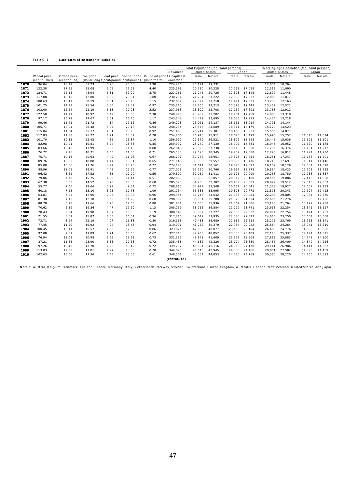#### Table C-2 Candidates of instrumental variables

|      |               |              |            |      |       |                                                        | Total Population (thousand persons) |                      |        |        |        |                      |        | Working-age Population (thousand persons) |        |
|------|---------------|--------------|------------|------|-------|--------------------------------------------------------|-------------------------------------|----------------------|--------|--------|--------|----------------------|--------|-------------------------------------------|--------|
|      |               |              |            |      |       |                                                        | Advanced                            | <b>United States</b> |        |        | Japan  | <b>United States</b> |        |                                           | Japan  |
|      | W heat price  | Cotton price | Iron price |      |       | Lead price Copper price Crude oil price 17 capitalist  |                                     | male                 | female | male   | female | male                 | female | male                                      | female |
|      | (cent/bushel) | (cent/pound) |            |      |       | (dollar/long t(cent/pound (cent/pound) (dollar/barrel) | countries <sup>a</sup>              |                      |        |        |        |                      |        |                                           |        |
| 1870 | 96.04         | 15.19        | 33.23      | 6.26 | 20.68 | 3.90                                                   | 224,276                             | 20,174               | 19,731 |        |        | 12,054               | 10,764 |                                           |        |
| 1871 | 122.38        | 17.95        | 35.08      | 6.08 | 22.63 | 4.40                                                   | 225,599                             | 20,710               | 20,228 | 17,211 | 17,058 | 12,312               | 11,090 |                                           |        |
| 1872 | 124.71        | 22.18        | 48.94      | 6.31 | 32.99 | 3.75                                                   | 227,766                             | 21,246               | 20,726 | 17,303 | 17,148 | 12,607               | 11,448 |                                           |        |
| 1873 | 117.00        | 19.16        | 42.80      | 6.32 | 28.91 | 1.80                                                   | 230,231                             | 21,784               | 21,222 | 17,388 | 17,237 | 12,888               | 11,817 |                                           |        |
| 1874 | 108.63        | 16.47        | 30.19      | 6.01 | 23.23 | 1.15                                                   | 232,687                             | 22,322               | 21,718 | 17,471 | 17,321 | 13,238               | 12,163 |                                           |        |
| 1875 | 101.75        | 14.93        | 25.54      | 5.85 | 22.52 | 0.97                                                   | 235,210                             | 22,860               | 22,213 | 17,593 | 17,443 | 13,457               | 12,522 |                                           |        |
| 1876 | 103.00        | 12.24        | 22.19      | 6.13 | 20.93 | 2.52                                                   | 237,963                             | 23,399               | 22,708 | 17,757 | 17,602 | 13,788               | 12,912 |                                           |        |
| 1877 | 127.50        | 11.71        | 18.92      | 5.49 | 18.65 | 2.38                                                   | 240,795                             | 23,939               | 23,202 | 17,904 | 17,759 | 14,088               | 13,318 |                                           |        |
| 1878 | 97.17         | 10.79        | 17.67      | 3.61 | 16.40 | 1.17                                                   | 243,548                             | 24,479               | 23,695 | 18,056 | 17,913 | 14,434               | 13,718 |                                           |        |
| 1879 | 99.46         | 11.42        | 21.72      | 4.14 | 17.16 | 0.86                                                   | 246,223                             | 25,021               | 24,187 | 18,151 | 18,014 | 14,791               | 14,144 |                                           |        |
| 1880 | 105.71        | 12.04        | 28.48      | 5.04 | 20.18 | 0.94                                                   | 248,734                             | 25,573               | 24,689 | 18,311 | 18,179 | 15,129               | 14,523 |                                           |        |
| 1881 | 115.04        | 11.54        | 25.17      | 4.81 | 18.20 | 0.92                                                   | 251,463                             | 26,241               | 25,301 | 18,460 | 18,333 | 15,556               | 14,877 |                                           |        |
| 1882 | 117.83        | 11.88        | 25.77      | 4.91 | 18.52 | 0.78                                                   | 254,206                             | 26,910               | 25,911 | 18,620 | 18,492 | 15,995               | 15,252 | 11,513                                    | 11,014 |
| 1883 | 101.70        | 10.35        | 22.42      | 4.32 | 15.87 | 1.10                                                   | 256,997                             | 27,579               | 26,521 | 18,822 | 18,698 | 16,446               | 15,636 | 11,601                                    | 11,101 |
| 1884 | 82.98         | 10.91        | 19.81      | 3.74 | 13.83 | 0.85                                                   | 259,997                             | 28,249               | 27,130 | 18,997 | 18,881 | 16,948               | 16,052 | 11,670                                    | 11,175 |
| 1885 | 83.66         | 10.46        | 17.99      | 3.95 | 11.13 | 0.88                                                   | 262,846                             | 28,920               | 27,738 | 19,118 | 19,058 | 17,296               | 16,374 | 11,754                                    | 11,272 |
| 1886 | 76.72         | 9.26         | 18.71      | 4.63 | 11.03 | 0.71                                                   | 265,588                             | 29,593               | 28,345 | 19,202 | 19,088 | 17,795               | 16,812 | 11,721                                    | 11,230 |
| 1887 | 75.71         | 10.18        | 20.93      | 4.49 | 11.23 | 0.67                                                   | 268,291                             | 30,266               | 28,951 | 19,373 | 19,254 | 18,251               | 17,247 | 11,788                                    | 11,291 |
| 1888 | 89.76         | 10.23        | 18.88      | 4.44 | 16.54 | 0.65                                                   | 271,146                             | 30,939               | 29,557 | 19,605 | 19,476 | 18,740               | 17,697 | 11,941                                    | 11,446 |
| 1889 | 85.00         | 10.66        | 17.76      | 3.92 | 13.70 | 0.77                                                   | 274,145                             | 31,614               | 30,161 | 19,823 | 19,693 | 19,182               | 18,129 | 12,084                                    | 11,598 |
| 1890 | 88.96         | 11.09        | 18.41      | 4.48 | 15.66 | 0.77                                                   | 277,028                             | 32,290               | 30,766 | 19,997 | 19,872 | 19,894               | 18,423 | 12,201                                    | 11,732 |
| 1891 | 96.42         | 8.62         | 17.52      | 4.35 | 12.90 | 0.56                                                   | 279,809                             | 32,950               | 31,411 | 20,126 | 20,009 | 20,233               | 18,750 | 12,288                                    | 11,837 |
| 1892 | 79.06         | 7.70         | 15.75      | 4.09 | 11.41 | 0.51                                                   | 282,683                             | 33,609               | 32,057 | 20,312 | 20,188 | 20,585               | 19,086 | 12,415                                    | 11,968 |
| 1893 | 67.38         | 8.33         | 14.52      | 3.73 | 10.85 | 0.60                                                   | 285,523                             | 34,268               | 32,702 | 20,459 | 20,333 | 20,972               | 19,512 | 12,516                                    | 12,087 |
| 1894 | 55.77         | 7.00         | 12.66      | 3.29 | 9.54  | 0.72                                                   | 288,615                             | 34,927               | 33,348 | 20,671 | 20,541 | 21,378               | 19,927 | 12,657                                    | 12,239 |
| 1895 | 60.18         | 7.28         | 13.10      | 3.23 | 10.78 | 1.09                                                   | 291,754                             | 35,585               | 33,995 | 20,878 | 20,772 | 21,803               | 20,343 | 12,797                                    | 12,415 |
| 1896 | 63.81         | 7.93         | 12.96      | 2.98 | 10.98 | 0.96                                                   | 294,954                             | 36,243               | 34,642 | 21,083 | 20,984 | 22,238               | 20,805 | 12,934                                    | 12,570 |
| 1897 | 81.30         | 7.15         | 12.10      | 3.58 | 11.29 | 0.68                                                   | 298,389                             | 36,901               | 35,288 | 21,326 | 21,234 | 22,686               | 21,276 | 13,095                                    | 12,756 |
| 1898 | 88.78         | 5.98         | 11.66      | 3.78 | 12.03 | 0.80                                                   | 301,871                             | 37,558               | 35,936 | 21,569 | 21,506 | 23,145               | 21,764 | 13,197                                    | 12,958 |
| 1899 | 70.62         | 6.59         | 19.36      | 4.47 | 17.60 | 1.13                                                   | 305,259                             | 38,215               | 36,584 | 21,779 | 21,741 | 23,613               | 22,254 | 13,341                                    | 13,117 |
| 1900 | 70.43         | 9.64         | 19.98      | 4.37 | 16.53 | 1.19                                                   | 308,549                             | 38,867               | 37,227 | 22,035 | 22,022 | 24,094               | 22,754 | 13,474                                    | 13,263 |
| 1901 | 71.55         | 8.62         | 15.87      | 4.33 | 16.54 | 0.96                                                   | 312,210                             | 39,649               | 37,935 | 22,340 | 22,322 | 24,666               | 23,250 | 13,604                                    | 13,388 |
| 1902 | 73.71         | 8.94         | 22.19      | 4.07 | 11.88 | 0.80                                                   | 316,163                             | 40,483               | 38,680 | 22,632 | 22,614 | 25,276               | 23,769 | 13,763                                    | 13,541 |
| 1903 | 77.45         | 11.20        | 19.92      | 4.24 | 13.43 | 0.94                                                   | 319,991                             | 41,262               | 39,370 | 22,934 | 22,922 | 25,864               | 24,264 | 13,941                                    | 13,710 |
| 1904 | 100.45        | 12.11        | 15.57      | 4.32 | 12.98 | 0.86                                                   | 323,871                             | 42,089               | 40,077 | 23,160 | 23,184 | 26,488               | 24,776 | 14,083                                    | 13,886 |
| 1905 | 97.08         | 9.57         | 17.89      | 4.71 | 15.68 | 0.62                                                   | 327,713                             | 42,965               | 40,857 | 23,338 | 23,409 | 27,148               | 25,337 | 14,174                                    | 14,011 |
| 1906 | 76.94         | 11.03        | 20.98      | 5.66 | 19.61 | 0.73                                                   | 331,535                             | 43,841               | 41,609 | 23,522 | 23,609 | 27,813               | 25,883 | 14,241                                    | 14,100 |
| 1907 | 87.21         | 11.88        | 23.90      | 5.33 | 20.68 | 0.72                                                   | 335,488                             | 44,682               | 42,326 | 23,774 | 23,880 | 28,456               | 26,409 | 14,349                                    | 14,226 |
| 1908 | 97.26         | 10.46        | 17.70      | 4.20 | 13.42 | 0.72                                                   | 339,732                             | 45,594               | 43,116 | 24,056 | 24,170 | 29,141               | 26,986 | 14,444                                    | 14,332 |
| 1909 | 113.03        | 12.08        | 17.81      | 4.27 | 13.33 | 0.70                                                   | 344,025                             | 46,545               | 43,945 | 24,385 | 24,466 | 29,851               | 27,582 | 14,595                                    | 14,459 |
| 1910 | 102.63        | 15.06        | 17.36      | 4.45 | 13.05 | 0.61                                                   | 348,501                             | 47,554               | 44,853 | 24,720 | 24,769 | 30,580               | 28,220 | 14,760                                    | 14,593 |
|      |               |              |            |      |       |                                                        | (continued)                         |                      |        |        |        |                      |        |                                           |        |

Note a. Austria, Belguim , D enm ark, Finland, France, Germany, Italy, Netherlands, Norway, Sweden, Sw itzerland, United Kingdom , Australia, Canada, New Zealand, United States, and Japan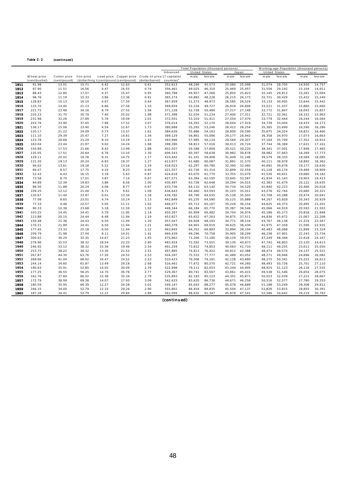#### Table C-2 (continued)

|      |               |              |            |       |                                         |                                                       | Total Population (thousand persons) |                      |         |        |        |        |               | Working-age Population (thousand persons) |         |
|------|---------------|--------------|------------|-------|-----------------------------------------|-------------------------------------------------------|-------------------------------------|----------------------|---------|--------|--------|--------|---------------|-------------------------------------------|---------|
|      |               |              |            |       |                                         |                                                       | Advanced                            | <b>United States</b> |         |        | Japan  |        | United States |                                           | Japan   |
|      | W heat price  | Cotton price | Iron price |       |                                         | Lead price Copper price Crude oil price 17 capitalist |                                     | male                 | fem ale | male   | female | male   | female        | male                                      | fem ale |
|      | (cent/bushel) | (cent/pound) |            |       | (dollar/long t (cent/pound (cent/pound) | (dollar/barrel)                                       | countries <sup>a</sup>              |                      |         |        |        |        |               |                                           |         |
| 1911 | 91.98         | 13.01        | 15.71      | 4.42  | 12.63                                   | 0.61                                                  | 352,613                             | 48,290               | 45,573  | 25,080 | 25,099 | 31,074 | 28,705        | 14,930                                    | 14,757  |
| 1912 | 97.90         | 11.51        | 16.56      | 4.47  | 16.55                                   | 0.74                                                  | 356,461                             | 49,025               | 46,310  | 25,469 | 25,457 | 31,556 | 29,192        | 15,104                                    | 14,911  |
| 1913 | 88.43         | 12.80        | 17.07      | 4.37  | 15.47                                   | 0.95                                                  | 360,788                             | 49,957               | 47,268  | 25,850 | 25,823 | 32,145 | 29,813        | 15,281                                    | 15,094  |
| 1914 | 98.76         | 11.19        | 15.33      | 3.86  | 13.36                                   | 0.81                                                  | 365,274                             | 50,883               | 48,228  | 26,215 | 26,173 | 32,721 | 30,429        | 15,432                                    | 15,240  |
| 1915 | 128.83        | 10.13        | 16.10      | 4.67  | 17.50                                   | 0.64                                                  | 367,959                             | 51,573               | 48,973  | 26,585 | 26,524 | 33,133 | 30,905        | 15,644                                    | 15,442  |
| 1916 | 133.70        | 14.45        | 21.13      | 6.86  | 27.56                                   | 1.10                                                  | 369,659                             | 52,234               | 49,727  | 26,919 | 26,849 | 33,521 | 31,437        | 15,860                                    | 15,660  |
| 1917 | 221.75        | 23.48        | 34.16      | 8.79  | 27.55                                   | 1.56                                                  | 371,128                             | 52,728               | 50,480  | 27,217 | 27,148 | 33,772 | 31,847        | 16,043                                    | 15,857  |
| 1918 | 220.23        | 31.70        | 30.79      | 7.40  | 25.02                                   | 1.98                                                  | 371,398                             | 52,034               | 51,234  | 27,400 | 27,311 | 32,721 | 32,361        | 16,152                                    | 15,963  |
| 1919 | 231.98        | 32.26        | 27.89      | 5.76  | 19.09                                   | 2.01                                                  | 372,501                             | 53,103               | 51,411  | 27,554 | 27,479 | 33,779 | 32,464        | 16,244                                    | 16,064  |
| 1920 | 243.76        | 33.90        | 37.65      | 7.96  | 17.52                                   | 3.07                                                  | 376,014                             | 54,291               | 52,170  | 28,044 | 27,919 | 34,739 | 33,004        | 16,433                                    | 16,173  |
| 1921 | 136.17        | 15.06        | 23.40      | 4.54  | 12.67                                   | 1.73                                                  | 380,688                             | 55,292               | 53,246  | 28,412 | 28,254 | 35,365 | 33,699        | 16,590                                    | 16,286  |
| 1922 | 120.17        | 21.22        | 24.09      | 5.73  | 13.57                                   | 1.61                                                  | 384,626                             | 55,886               | 54,163  | 28,800 | 28,590 | 35,675 | 34,324        | 16,831                                    | 16,460  |
| 1923 | 111.10        | 29.39        | 25.47      | 7.27  | 14.61                                   | 1.34                                                  | 389,129                             | 56,861               | 55,086  | 29,177 | 28,942 | 36,358 | 34,970        | 17,073                                    | 16,663  |
| 1924 | 123.78        | 28.68        | 21.24      | 8.10  | 13.19                                   | 1.43                                                  | 393,996                             | 57,985               | 56,124  | 29,569 | 29,307 | 37,164 | 35,709        | 17,352                                    | 16,914  |
| 1925 | 163.04        | 23.44        | 21.97      | 9.02  | 14.24                                   | 1.68                                                  | 398,280                             | 58,813               | 57,016  | 30,013 | 29,724 | 37,744 | 36,369        | 17,631                                    | 17,161  |
| 1926 | 150.89        | 17.53        | 21.66      | 8.42  | 13.99                                   | 1.88                                                  | 402,507                             | 59,588               | 57,809  | 30,521 | 30,220 | 38,341 | 37,001        | 17,948                                    | 17,463  |
| 1927 | 135.05        | 17.51        | 20.64      | 6.76  | 13.10                                   | 1.30                                                  | 406,543                             | 60,397               | 58,638  | 30,982 | 30,678 | 38,982 | 37,663        | 18,269                                    | 17,773  |
| 1928 | 129.11        | 20.02        | 19.76      | 6.31  | 14.75                                   | 1.17                                                  | 410,442                             | 61,101               | 59,408  | 31,449 | 31,146 | 39,579 | 38,333        | 18,589                                    | 18,085  |
| 1929 | 121.20        | 19.13        | 20.24      | 6.83  | 18.37                                   | 1.27                                                  | 413,977                             | 61,680               | 60,087  | 31,891 | 31,570 | 40,111 | 38,978        | 18,892                                    | 18,362  |
| 1930 | 94.02         | 13.61        | 19.18      | 5.52  | 13.16                                   | 1.19                                                  | 418,023                             | 62,297               | 60,780  | 32,390 | 32,060 | 40,692 | 39,678        | 19,177                                    | 18,630  |
| 1931 | 66.47         | 8.57         | 17.75      | 4.24  | 8.23                                    | 0.65                                                  | 421,557                             | 62,726               | 61,314  | 32,899 | 32,559 | 41,128 | 40,174        | 19,468                                    | 18,909  |
| 1932 | 52.43         | 6.43         | 16.15      | 3.18  | 5.63                                    | 0.87                                                  | 424,618                             | 63,070               | 61,770  | 33,355 | 33,079 | 41,526 | 40,651        | 19,680                                    | 19,182  |
| 1933 | 73.58         | 8.70         | 17.01      | 3.87  | 7.14                                    | 0.67                                                  | 427,571                             | 63,384               | 62,195  | 33,845 | 33,587 | 41,934 | 41,143        | 19,903                                    | 19,413  |
| 1934 | 94.89         | 12.39        | 19.83      | 3.86  | 8.56                                    | 1.00                                                  | 430,497                             | 63,726               | 62,648  | 34,294 | 34,015 | 42,383 | 41,679        | 20,122                                    | 19,635  |
| 1935 | 96.50         | 11.88        | 20.24      | 4.06  | 8.77                                    | 0.97                                                  | 433,736                             | 64,110               | 63,140  | 34,734 | 34,520 | 42,840 | 42,223        | 20,466                                    | 20,018  |
| 1936 | 109.25        | 12.12        | 21.00      | 4.71  | 9.61                                    | 1.09                                                  | 436,643                             | 64,460               | 63,593  | 35,103 | 35,011 | 43,276 | 42,764        | 20,680                                    | 20,321  |
| 1937 | 120.67        | 11.44        | 23.97      | 6.01  | 13.34                                   | 1.18                                                  | 439,782                             | 64,790               | 64,035  | 35,128 | 35,503 | 43,708 | 43,288        | 20,474                                    | 20,641  |
| 1938 | 77.08         | 8.65         | 23.01      | 4.74  | 10.14                                   | 1.13                                                  | 442,849                             | 65,235               | 64,590  | 35,125 | 35,888 | 44,167 | 43,828        | 20,343                                    | 20,929  |
| 1939 | 77.33         | 9.48         | 22.57      | 5.05  | 11.11                                   | 1.02                                                  | 446,077                             | 65,713               | 65,167  | 35,226 | 36,154 | 44,625 | 44,373        | 20,495                                    | 21,201  |
| 1940 | 90.33         | 10.38        | 23.68      | 5.18  | 11.59                                   | 1.02                                                  | 448,344                             | 66,184               | 65,770  | 35,387 | 36,546 | 45,066 | 44,919        | 20,593                                    | 21,503  |
| 1941 | 103.25        | 14.45        | 24.41      | 5.79  | 11.95                                   | 1.14                                                  | 450,267                             | 65,999               | 66,482  | 34,704 | 36,974 | 45,186 | 45,273        | 20,818                                    | 21,848  |
| 1942 | 123.88        | 20.15        | 24.44      | 6.48  | 11.94                                   | 1.19                                                  | 453,827                             | 65,622               | 67,263  | 34,875 | 37,511 | 44,836 | 45,672        | 21,067                                    | 22,208  |
| 1943 | 150.48        | 21.36        | 24.43      | 6.50  | 11.94                                   | 1.20                                                  | 457,047                             | 64,928               | 68,193  | 34,771 | 38,116 | 43,767 | 46,138        | 21,319                                    | 22,567  |
| 1944 | 170.21        | 21.89        | 24.41      | 6.50  | 11.94                                   | 1.21                                                  | 460,378                             | 64,901               | 69,019  | 34,625 | 38,439 | 41,975 | 47,358        | 21,590                                    | 22,935  |
| 1945 | 177.45        | 23.33        | 25.18      | 6.50  | 11.94                                   | 1.22                                                  | 463,845                             | 64,352               | 69,893  | 33,894 | 38,104 | 40,483 | 48,088        | 21,899                                    | 23,324  |
| 1946 | 209.79        | 31.98        | 27.04      | 8.11  | 14.01                                   | 1.41                                                  | 469,439                             | 69,296               | 70,758  | 34,905 | 38,209 | 46,238 | 47,901        | 22,243                                    | 23,734  |
| 1947 | 300.02        | 36.24        | 32.35      | 14.67 | 21.23                                   | 1.93                                                  | 475,862                             | 71,266               | 72,180  | 38,129 | 39,972 | 47,249 | 48,346        | 22,618                                    | 24,167  |
| 1948 | 278.96        | 35.53        | 38.32      | 18.04 | 22.33                                   | 2.60                                                  | 483,924                             | 72,592               | 73,501  | 39,130 | 40,873 | 47,742 | 48,803        | 23,120                                    | 24,613  |
| 1949 | 246.92        | 33.12        | 38.32      | 15.36 | 19.46                                   | 2.54                                                  | 491,259                             | 73,812               | 74,853  | 40,063 | 41,710 | 48,111 | 49,255        | 23,611                                    | 25,050  |
| 1950 | 253.75        | 38.22        | 38.32      | 13.30 | 21.52                                   | 2.51                                                  | 497,885                             | 74,813               | 76,422  | 40,812 | 42,388 | 48,474 | 49,574        | 24,137                                    | 25,521  |
| 1951 | 267.87        | 44.30        | 63.76      | 17.50 | 24.52                                   | 2.53                                                  | 504,287                             | 75,533               | 77,777  | 41,489 | 43,052 | 48,271 | 49,946        | 24,696                                    | 26,082  |
| 1952 | 268.66        | 41.04        | 68.92      | 16.47 | 24.52                                   | 2.53                                                  | 510,423                             | 76,506               | 79,181  | 42,128 | 43,680 | 48,275 | 50,341        | 25,222                                    | 26,613  |
| 1953 | 244.14        | 34.60        | 61.97      | 13.49 | 29.18                                   | 2.68                                                  | 516,461                             | 77,672               | 80,570  | 42,721 | 44,260 | 48,493 | 50,726        | 25,701                                    | 27,110  |
| 1954 | 190.63        | 35.91        | 52.85      | 14.05 | 30.09                                   | 2.78                                                  | 522,998                             | 79,111               | 82,053  | 43,344 | 44,895 | 48,925 | 51,123        | 26,116                                    | 27,535  |
| 1955 | 177.25        | 36.55        | 56.25      | 14.70 | 36.76                                   | 2.77                                                  | 529,367                             | 80,741               | 83,567  | 43,861 | 45,415 | 49,538 | 51,546        | 26,654                                    | 28,075  |
| 1956 | 162.76        | 37.84        | 66.02      | 15.38 | 35.34                                   | 2.79                                                  | 535,893                             | 82,183               | 85,123  | 44,301 | 45,871 | 50,023 | 52,039        | 27,221                                    | 28,667  |
| 1957 | 172.79        | 38.99        | 69.38      | 14.07 | 27.93                                   | 3.09                                                  | 542,633                             | 83,635               | 86,736  | 44,671 | 46,258 | 50,516 | 52,577        | 27,780                                    | 29,253  |
| 1958 | 180.59        | 35.95        | 66.39      | 12.27 | 26.28                                   | 3.01                                                  | 549,147                             | 85,043               | 88,277  | 45,078 | 46,689 | 51,188 | 53,249        | 28,308                                    | 29,812  |
| 1959 | 166.10        | 34.00        | 52.79      | 12.10 | 29.26                                   | 2.90                                                  | 555,802                             | 86,454               | 89,835  | 45,504 | 47,137 | 51,826 | 53,815        | 28,855                                    | 30,391  |
| 1960 | 187.28        | 34.41        | 52.79      | 12.22 | 29.84                                   | 2.88                                                  | 562,099                             | 88,632               | 91,347  | 45,878 | 47,541 | 52,586 | 54,642        | 29,219                                    | 30,783  |
|      |               |              |            |       |                                         |                                                       |                                     |                      |         |        |        |        |               |                                           |         |

 $(continued)$